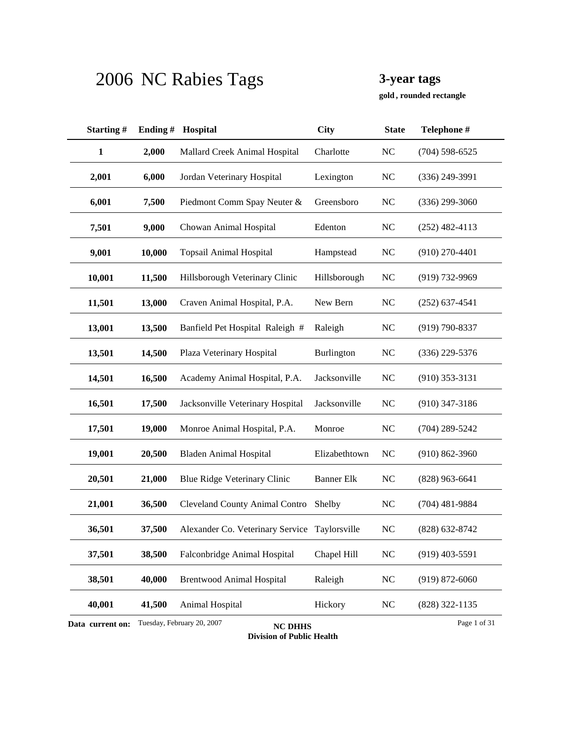**, rounded rectangle gold**

| Starting#        | Ending# | Hospital                                      | <b>City</b>       | <b>State</b>   | Telephone #        |
|------------------|---------|-----------------------------------------------|-------------------|----------------|--------------------|
| 1                | 2,000   | Mallard Creek Animal Hospital                 | Charlotte         | NC             | $(704)$ 598-6525   |
| 2,001            | 6,000   | Jordan Veterinary Hospital                    | Lexington         | <b>NC</b>      | $(336)$ 249-3991   |
| 6,001            | 7,500   | Piedmont Comm Spay Neuter &                   | Greensboro        | NC             | $(336)$ 299-3060   |
| 7,501            | 9,000   | Chowan Animal Hospital                        | Edenton           | NC             | $(252)$ 482-4113   |
| 9,001            | 10,000  | <b>Topsail Animal Hospital</b>                | Hampstead         | NC             | $(910)$ 270-4401   |
| 10,001           | 11,500  | Hillsborough Veterinary Clinic                | Hillsborough      | N <sub>C</sub> | $(919) 732 - 9969$ |
| 11,501           | 13,000  | Craven Animal Hospital, P.A.                  | New Bern          | NC             | $(252)$ 637-4541   |
| 13,001           | 13,500  | Banfield Pet Hospital Raleigh #               | Raleigh           | <b>NC</b>      | $(919) 790 - 8337$ |
| 13,501           | 14,500  | Plaza Veterinary Hospital                     | Burlington        | <b>NC</b>      | $(336)$ 229-5376   |
| 14,501           | 16,500  | Academy Animal Hospital, P.A.                 | Jacksonville      | <b>NC</b>      | $(910)$ 353-3131   |
| 16,501           | 17,500  | Jacksonville Veterinary Hospital              | Jacksonville      | NC             | $(910)$ 347-3186   |
| 17,501           | 19,000  | Monroe Animal Hospital, P.A.                  | Monroe            | NC             | $(704)$ 289-5242   |
| 19,001           | 20,500  | <b>Bladen Animal Hospital</b>                 | Elizabethtown     | NC             | $(910) 862 - 3960$ |
| 20,501           | 21,000  | <b>Blue Ridge Veterinary Clinic</b>           | <b>Banner Elk</b> | <b>NC</b>      | $(828)$ 963-6641   |
| 21,001           | 36,500  | <b>Cleveland County Animal Contro</b>         | Shelby            | NC             | $(704)$ 481-9884   |
| 36,501           | 37,500  | Alexander Co. Veterinary Service Taylorsville |                   | N <sub>C</sub> | $(828)$ 632-8742   |
| 37,501           | 38,500  | Falconbridge Animal Hospital                  | Chapel Hill       | $\rm NC$       | $(919)$ 403-5591   |
| 38,501           | 40,000  | <b>Brentwood Animal Hospital</b>              | Raleigh           | <b>NC</b>      | $(919) 872 - 6060$ |
| 40,001           | 41,500  | Animal Hospital                               | Hickory           | NC             | (828) 322-1135     |
| Data current on: |         | Tuesday, February 20, 2007<br><b>NC DHHS</b>  |                   |                | Page 1 of 31       |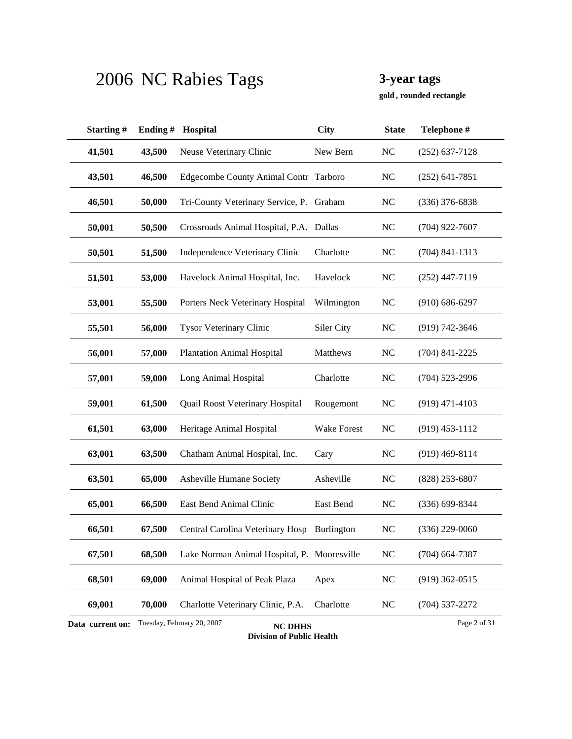**, rounded rectangle gold**

| Starting#        | Ending# | Hospital                                     | <b>City</b>        | <b>State</b>   | Telephone #        |
|------------------|---------|----------------------------------------------|--------------------|----------------|--------------------|
| 41,501           | 43,500  | Neuse Veterinary Clinic                      | New Bern           | NC             | $(252)$ 637-7128   |
| 43,501           | 46,500  | Edgecombe County Animal Contr Tarboro        |                    | NC             | $(252)$ 641-7851   |
| 46,501           | 50,000  | Tri-County Veterinary Service, P.            | Graham             | <b>NC</b>      | $(336)$ 376-6838   |
| 50,001           | 50,500  | Crossroads Animal Hospital, P.A. Dallas      |                    | <b>NC</b>      | $(704)$ 922-7607   |
| 50,501           | 51,500  | Independence Veterinary Clinic               | Charlotte          | NC             | $(704)$ 841-1313   |
| 51,501           | 53,000  | Havelock Animal Hospital, Inc.               | Havelock           | <b>NC</b>      | $(252)$ 447-7119   |
| 53,001           | 55,500  | Porters Neck Veterinary Hospital             | Wilmington         | <b>NC</b>      | $(910) 686 - 6297$ |
| 55,501           | 56,000  | Tysor Veterinary Clinic                      | Siler City         | <b>NC</b>      | $(919) 742 - 3646$ |
| 56,001           | 57,000  | <b>Plantation Animal Hospital</b>            | Matthews           | NC             | $(704)$ 841-2225   |
| 57,001           | 59,000  | Long Animal Hospital                         | Charlotte          | <b>NC</b>      | $(704)$ 523-2996   |
| 59,001           | 61,500  | Quail Roost Veterinary Hospital              | Rougemont          | <b>NC</b>      | $(919)$ 471-4103   |
| 61,501           | 63,000  | Heritage Animal Hospital                     | <b>Wake Forest</b> | N <sub>C</sub> | $(919)$ 453-1112   |
| 63,001           | 63,500  | Chatham Animal Hospital, Inc.                | Cary               | NC             | $(919)$ 469-8114   |
| 63,501           | 65,000  | Asheville Humane Society                     | Asheville          | NC             | $(828)$ 253-6807   |
| 65,001           | 66,500  | East Bend Animal Clinic                      | East Bend          | NC             | $(336)$ 699-8344   |
| 66,501           | 67,500  | Central Carolina Veterinary Hosp             | Burlington         | N <sub>C</sub> | (336) 229-0060     |
| 67,501           | 68,500  | Lake Norman Animal Hospital, P. Mooresville  |                    | NC             | $(704)$ 664-7387   |
| 68,501           | 69,000  | Animal Hospital of Peak Plaza                | Apex               | <b>NC</b>      | $(919)$ 362-0515   |
| 69,001           | 70,000  | Charlotte Veterinary Clinic, P.A.            | Charlotte          | NC             | $(704)$ 537-2272   |
| Data current on: |         | Tuesday, February 20, 2007<br><b>NC DHHS</b> |                    |                | Page 2 of 31       |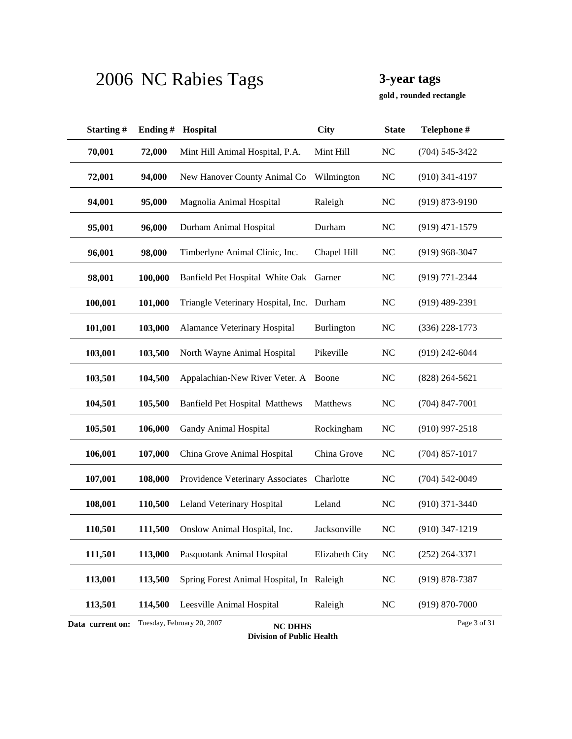**, rounded rectangle gold**

| Starting#                                                                        | Ending# | Hospital                                  | City              | <b>State</b>   | Telephone #        |  |
|----------------------------------------------------------------------------------|---------|-------------------------------------------|-------------------|----------------|--------------------|--|
| 70,001                                                                           | 72,000  | Mint Hill Animal Hospital, P.A.           | Mint Hill         | NC             | $(704) 545 - 3422$ |  |
| 72,001                                                                           | 94,000  | New Hanover County Animal Co              | Wilmington        | <b>NC</b>      | $(910)$ 341-4197   |  |
| 94,001                                                                           | 95,000  | Magnolia Animal Hospital                  | Raleigh           | <b>NC</b>      | $(919) 873 - 9190$ |  |
| 95,001                                                                           | 96,000  | Durham Animal Hospital                    | Durham            | <b>NC</b>      | $(919)$ 471-1579   |  |
| 96,001                                                                           | 98,000  | Timberlyne Animal Clinic, Inc.            | Chapel Hill       | <b>NC</b>      | $(919)$ 968-3047   |  |
| 98,001                                                                           | 100,000 | Banfield Pet Hospital White Oak           | Garner            | <b>NC</b>      | $(919) 771 - 2344$ |  |
| 100,001                                                                          | 101,000 | Triangle Veterinary Hospital, Inc. Durham |                   | <b>NC</b>      | $(919)$ 489-2391   |  |
| 101,001                                                                          | 103,000 | Alamance Veterinary Hospital              | <b>Burlington</b> | N <sub>C</sub> | $(336)$ 228-1773   |  |
| 103,001                                                                          | 103,500 | North Wayne Animal Hospital               | Pikeville         | N <sub>C</sub> | $(919)$ 242-6044   |  |
| 103,501                                                                          | 104,500 | Appalachian-New River Veter. A            | Boone             | NC             | $(828) 264 - 5621$ |  |
| 104,501                                                                          | 105,500 | <b>Banfield Pet Hospital Matthews</b>     | Matthews          | NC             | $(704)$ 847-7001   |  |
| 105,501                                                                          | 106,000 | Gandy Animal Hospital                     | Rockingham        | <b>NC</b>      | $(910)$ 997-2518   |  |
| 106,001                                                                          | 107,000 | China Grove Animal Hospital               | China Grove       | <b>NC</b>      | $(704)$ 857-1017   |  |
| 107,001                                                                          | 108,000 | Providence Veterinary Associates          | Charlotte         | <b>NC</b>      | $(704) 542 - 0049$ |  |
| 108,001                                                                          | 110,500 | Leland Veterinary Hospital                | Leland            | <b>NC</b>      | $(910)$ 371-3440   |  |
| 110,501                                                                          | 111,500 | Onslow Animal Hospital, Inc.              | Jacksonville      | N <sub>C</sub> | $(910)$ 347-1219   |  |
| 111,501                                                                          | 113,000 | Pasquotank Animal Hospital                | Elizabeth City    | NC             | $(252)$ 264-3371   |  |
| 113,001                                                                          | 113,500 | Spring Forest Animal Hospital, In Raleigh |                   | $\rm NC$       | $(919) 878 - 7387$ |  |
| 113,501                                                                          | 114,500 | Leesville Animal Hospital                 | Raleigh           | <b>NC</b>      | $(919) 870 - 7000$ |  |
| Tuesday, February 20, 2007<br>Page 3 of 31<br>Data current on:<br><b>NC DHHS</b> |         |                                           |                   |                |                    |  |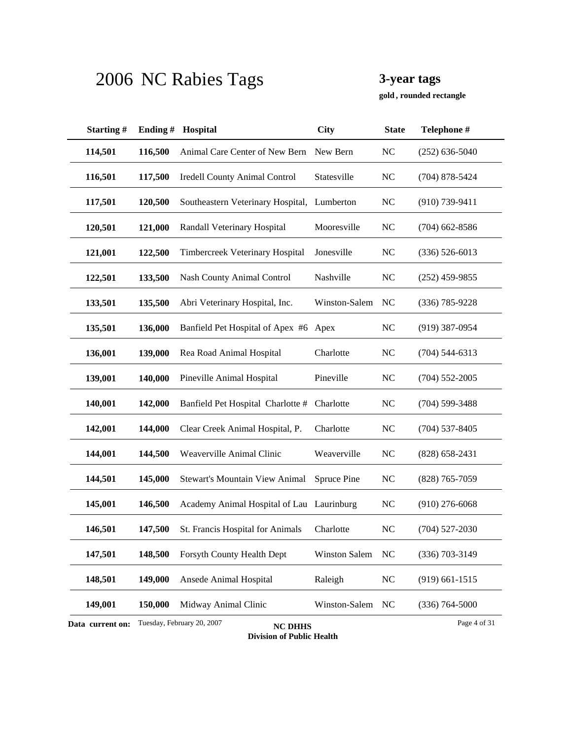**, rounded rectangle gold**

| Starting#                                                                        | Ending# | Hospital                                  | <b>City</b>        | <b>State</b>   | Telephone #        |  |
|----------------------------------------------------------------------------------|---------|-------------------------------------------|--------------------|----------------|--------------------|--|
| 114,501                                                                          | 116,500 | Animal Care Center of New Bern            | New Bern           | N <sub>C</sub> | $(252)$ 636-5040   |  |
| 116,501                                                                          | 117,500 | <b>Iredell County Animal Control</b>      | Statesville        | N <sub>C</sub> | $(704)$ 878-5424   |  |
| 117,501                                                                          | 120,500 | Southeastern Veterinary Hospital,         | Lumberton          | <b>NC</b>      | $(910)$ 739-9411   |  |
| 120,501                                                                          | 121,000 | Randall Veterinary Hospital               | Mooresville        | <b>NC</b>      | $(704)$ 662-8586   |  |
| 121,001                                                                          | 122,500 | Timbercreek Veterinary Hospital           | Jonesville         | <b>NC</b>      | $(336) 526 - 6013$ |  |
| 122,501                                                                          | 133,500 | <b>Nash County Animal Control</b>         | Nashville          | <b>NC</b>      | $(252)$ 459-9855   |  |
| 133,501                                                                          | 135,500 | Abri Veterinary Hospital, Inc.            | Winston-Salem      | NC             | $(336) 785 - 9228$ |  |
| 135,501                                                                          | 136,000 | Banfield Pet Hospital of Apex #6 Apex     |                    | <b>NC</b>      | $(919)$ 387-0954   |  |
| 136,001                                                                          | 139,000 | Rea Road Animal Hospital                  | Charlotte          | N <sub>C</sub> | $(704)$ 544-6313   |  |
| 139,001                                                                          | 140,000 | Pineville Animal Hospital                 | Pineville          | N <sub>C</sub> | $(704)$ 552-2005   |  |
| 140,001                                                                          | 142,000 | Banfield Pet Hospital Charlotte #         | Charlotte          | <b>NC</b>      | $(704)$ 599-3488   |  |
| 142,001                                                                          | 144,000 | Clear Creek Animal Hospital, P.           | Charlotte          | <b>NC</b>      | $(704)$ 537-8405   |  |
| 144,001                                                                          | 144,500 | Weaverville Animal Clinic                 | Weaverville        | <b>NC</b>      | $(828) 658 - 2431$ |  |
| 144,501                                                                          | 145,000 | Stewart's Mountain View Animal            | <b>Spruce Pine</b> | <b>NC</b>      | $(828)$ 765-7059   |  |
| 145,001                                                                          | 146,500 | Academy Animal Hospital of Lau Laurinburg |                    | <b>NC</b>      | $(910)$ 276-6068   |  |
| 146,501                                                                          | 147,500 | St. Francis Hospital for Animals          | Charlotte          | N <sub>C</sub> | $(704)$ 527-2030   |  |
| 147,501                                                                          | 148,500 | Forsyth County Health Dept                | Winston Salem      | <b>NC</b>      | $(336)$ 703-3149   |  |
| 148,501                                                                          | 149,000 | Ansede Animal Hospital                    | Raleigh            | N <sub>C</sub> | $(919)$ 661-1515   |  |
| 149,001                                                                          | 150,000 | Midway Animal Clinic                      | Winston-Salem      | NC             | $(336) 764 - 5000$ |  |
| Tuesday, February 20, 2007<br>Page 4 of 31<br>Data current on:<br><b>NC DHHS</b> |         |                                           |                    |                |                    |  |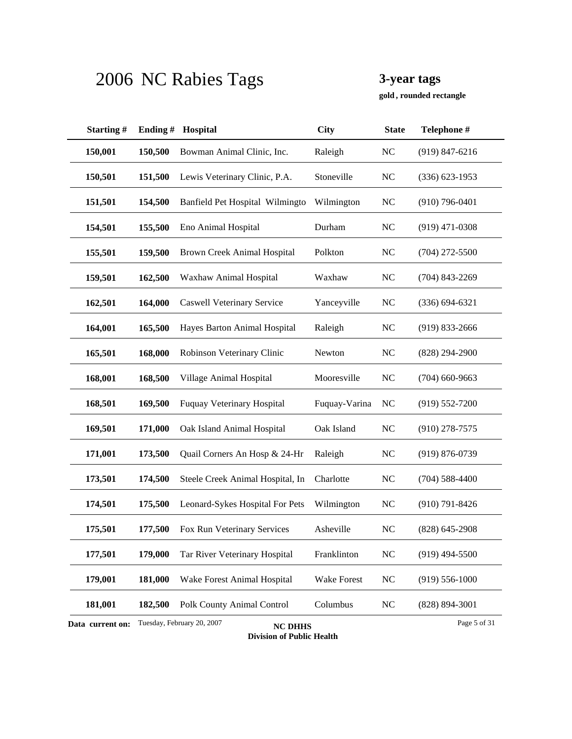**, rounded rectangle gold**

| Starting#        | Ending# | Hospital                                     | <b>City</b>   | <b>State</b>   | Telephone #        |
|------------------|---------|----------------------------------------------|---------------|----------------|--------------------|
| 150,001          | 150,500 | Bowman Animal Clinic, Inc.                   | Raleigh       | NC             | $(919)$ 847-6216   |
| 150,501          | 151,500 | Lewis Veterinary Clinic, P.A.                | Stoneville    | <b>NC</b>      | $(336) 623 - 1953$ |
| 151,501          | 154,500 | Banfield Pet Hospital Wilmingto              | Wilmington    | N <sub>C</sub> | $(910)$ 796-0401   |
| 154,501          | 155,500 | Eno Animal Hospital                          | Durham        | <b>NC</b>      | $(919)$ 471-0308   |
| 155,501          | 159,500 | <b>Brown Creek Animal Hospital</b>           | Polkton       | N <sub>C</sub> | $(704)$ 272-5500   |
| 159,501          | 162,500 | Waxhaw Animal Hospital                       | Waxhaw        | N <sub>C</sub> | $(704)$ 843-2269   |
| 162,501          | 164,000 | <b>Caswell Veterinary Service</b>            | Yanceyville   | NC             | $(336) 694 - 6321$ |
| 164,001          | 165,500 | Hayes Barton Animal Hospital                 | Raleigh       | <b>NC</b>      | $(919) 833 - 2666$ |
| 165,501          | 168,000 | Robinson Veterinary Clinic                   | Newton        | N <sub>C</sub> | (828) 294-2900     |
| 168,001          | 168,500 | Village Animal Hospital                      | Mooresville   | N <sub>C</sub> | $(704)$ 660-9663   |
| 168,501          | 169,500 | <b>Fuquay Veterinary Hospital</b>            | Fuquay-Varina | <b>NC</b>      | $(919) 552 - 7200$ |
| 169,501          | 171,000 | Oak Island Animal Hospital                   | Oak Island    | NC             | $(910)$ 278-7575   |
| 171,001          | 173,500 | Quail Corners An Hosp & 24-Hr                | Raleigh       | N <sub>C</sub> | $(919) 876 - 0739$ |
| 173,501          | 174,500 | Steele Creek Animal Hospital, In             | Charlotte     | N <sub>C</sub> | $(704)$ 588-4400   |
| 174,501          | 175,500 | Leonard-Sykes Hospital For Pets              | Wilmington    | NC             | $(910) 791 - 8426$ |
| 175,501          | 177,500 | Fox Run Veterinary Services                  | Asheville     | N <sub>C</sub> | $(828)$ 645-2908   |
| 177,501          | 179,000 | Tar River Veterinary Hospital                | Franklinton   | <b>NC</b>      | $(919)$ 494-5500   |
| 179,001          | 181,000 | Wake Forest Animal Hospital                  | Wake Forest   | NC             | $(919) 556 - 1000$ |
| 181,001          | 182,500 | Polk County Animal Control                   | Columbus      | <b>NC</b>      | $(828) 894 - 3001$ |
| Data current on: |         | Tuesday, February 20, 2007<br><b>NC DHHS</b> |               |                | Page 5 of 31       |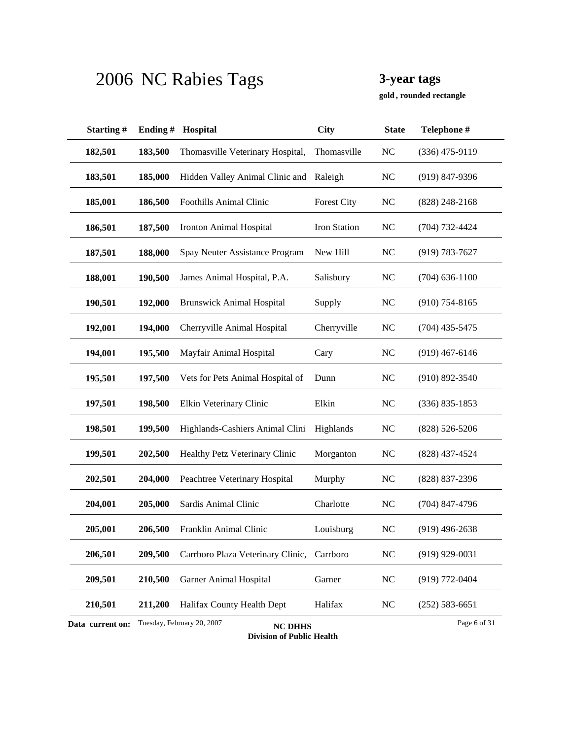**, rounded rectangle gold**

| Starting#                                                                        | Ending# | Hospital                                   | City                | <b>State</b>   | Telephone #        |  |
|----------------------------------------------------------------------------------|---------|--------------------------------------------|---------------------|----------------|--------------------|--|
| 182,501                                                                          | 183,500 | Thomasville Veterinary Hospital,           | Thomasville         | NC             | $(336)$ 475-9119   |  |
| 183,501                                                                          | 185,000 | Hidden Valley Animal Clinic and            | Raleigh             | N <sub>C</sub> | $(919)$ 847-9396   |  |
| 185,001                                                                          | 186,500 | <b>Foothills Animal Clinic</b>             | <b>Forest City</b>  | N <sub>C</sub> | $(828)$ 248-2168   |  |
| 186,501                                                                          | 187,500 | Ironton Animal Hospital                    | <b>Iron Station</b> | N <sub>C</sub> | $(704) 732 - 4424$ |  |
| 187,501                                                                          | 188,000 | Spay Neuter Assistance Program             | New Hill            | N <sub>C</sub> | $(919) 783 - 7627$ |  |
| 188,001                                                                          | 190,500 | James Animal Hospital, P.A.                | Salisbury           | <b>NC</b>      | $(704)$ 636-1100   |  |
| 190,501                                                                          | 192,000 | <b>Brunswick Animal Hospital</b>           | Supply              | <b>NC</b>      | $(910)$ 754-8165   |  |
| 192,001                                                                          | 194,000 | Cherryville Animal Hospital                | Cherryville         | N <sub>C</sub> | $(704)$ 435-5475   |  |
| 194,001                                                                          | 195,500 | Mayfair Animal Hospital                    | Cary                | N <sub>C</sub> | $(919)$ 467-6146   |  |
| 195,501                                                                          | 197,500 | Vets for Pets Animal Hospital of           | Dunn                | NC             | $(910) 892 - 3540$ |  |
| 197,501                                                                          | 198,500 | Elkin Veterinary Clinic                    | Elkin               | <b>NC</b>      | $(336) 835 - 1853$ |  |
| 198,501                                                                          | 199,500 | Highlands-Cashiers Animal Clini            | Highlands           | N <sub>C</sub> | $(828) 526 - 5206$ |  |
| 199,501                                                                          | 202,500 | Healthy Petz Veterinary Clinic             | Morganton           | <b>NC</b>      | $(828)$ 437-4524   |  |
| 202,501                                                                          | 204,000 | Peachtree Veterinary Hospital              | Murphy              | <b>NC</b>      | (828) 837-2396     |  |
| 204,001                                                                          | 205,000 | Sardis Animal Clinic                       | Charlotte           | NC             | $(704)$ 847-4796   |  |
| 205,001                                                                          | 206,500 | Franklin Animal Clinic                     | Louisburg           | NC             | $(919)$ 496-2638   |  |
| 206,501                                                                          | 209,500 | Carrboro Plaza Veterinary Clinic, Carrboro |                     | NC             | $(919)$ 929-0031   |  |
| 209,501                                                                          | 210,500 | <b>Garner Animal Hospital</b>              | Garner              | NC             | $(919) 772 - 0404$ |  |
| 210,501                                                                          | 211,200 | Halifax County Health Dept                 | Halifax             | <b>NC</b>      | $(252) 583 - 6651$ |  |
| Tuesday, February 20, 2007<br>Page 6 of 31<br>Data current on:<br><b>NC DHHS</b> |         |                                            |                     |                |                    |  |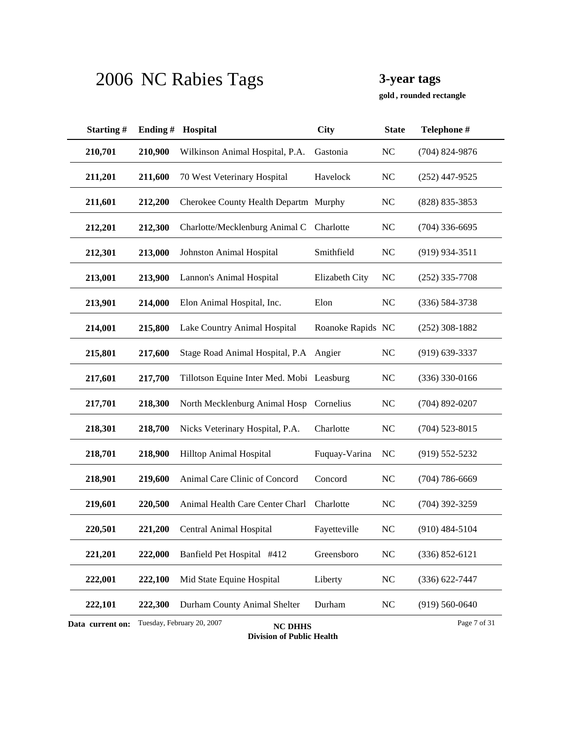**, rounded rectangle gold**

| Starting#        | Ending# | Hospital                                     | <b>City</b>       | <b>State</b>   | Telephone #        |
|------------------|---------|----------------------------------------------|-------------------|----------------|--------------------|
| 210,701          | 210,900 | Wilkinson Animal Hospital, P.A.              | Gastonia          | N <sub>C</sub> | $(704)$ 824-9876   |
| 211,201          | 211,600 | 70 West Veterinary Hospital                  | Havelock          | <b>NC</b>      | $(252)$ 447-9525   |
| 211,601          | 212,200 | Cherokee County Health Departm Murphy        |                   | <b>NC</b>      | (828) 835-3853     |
| 212,201          | 212,300 | Charlotte/Mecklenburg Animal C               | Charlotte         | <b>NC</b>      | $(704)$ 336-6695   |
| 212,301          | 213,000 | Johnston Animal Hospital                     | Smithfield        | N <sub>C</sub> | $(919)$ 934-3511   |
| 213,001          | 213,900 | Lannon's Animal Hospital                     | Elizabeth City    | <b>NC</b>      | $(252)$ 335-7708   |
| 213,901          | 214,000 | Elon Animal Hospital, Inc.                   | Elon              | <b>NC</b>      | $(336) 584 - 3738$ |
| 214,001          | 215,800 | Lake Country Animal Hospital                 | Roanoke Rapids NC |                | $(252)$ 308-1882   |
| 215,801          | 217,600 | Stage Road Animal Hospital, P.A              | Angier            | NC             | $(919)$ 639-3337   |
| 217,601          | 217,700 | Tillotson Equine Inter Med. Mobi Leasburg    |                   | <b>NC</b>      | (336) 330-0166     |
| 217,701          | 218,300 | North Mecklenburg Animal Hosp                | Cornelius         | <b>NC</b>      | $(704)$ 892-0207   |
| 218,301          | 218,700 | Nicks Veterinary Hospital, P.A.              | Charlotte         | NC             | $(704)$ 523-8015   |
| 218,701          | 218,900 | Hilltop Animal Hospital                      | Fuquay-Varina     | NC             | $(919) 552 - 5232$ |
| 218,901          | 219,600 | Animal Care Clinic of Concord                | Concord           | <b>NC</b>      | $(704) 786 - 6669$ |
| 219,601          | 220,500 | Animal Health Care Center Charl              | Charlotte         | <b>NC</b>      | $(704)$ 392-3259   |
| 220,501          | 221,200 | Central Animal Hospital                      | Fayetteville      | NC             | $(910)$ 484-5104   |
| 221,201          | 222,000 | Banfield Pet Hospital #412                   | Greensboro        | <b>NC</b>      | $(336) 852 - 6121$ |
| 222,001          | 222,100 | Mid State Equine Hospital                    | Liberty           | NC             | $(336) 622 - 7447$ |
| 222,101          | 222,300 | Durham County Animal Shelter                 | Durham            | <b>NC</b>      | $(919) 560 - 0640$ |
| Data current on: |         | Tuesday, February 20, 2007<br><b>NC DHHS</b> |                   |                | Page 7 of 31       |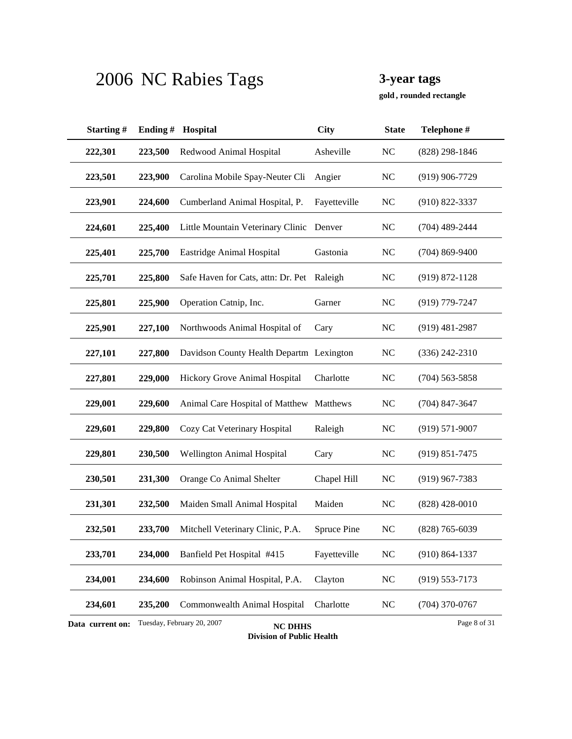**, rounded rectangle gold**

| Starting#                                                                        | Ending# | Hospital                                 | <b>City</b>  | <b>State</b>   | Telephone #        |  |
|----------------------------------------------------------------------------------|---------|------------------------------------------|--------------|----------------|--------------------|--|
| 222,301                                                                          | 223,500 | Redwood Animal Hospital                  | Asheville    | NC             | $(828)$ 298-1846   |  |
| 223,501                                                                          | 223,900 | Carolina Mobile Spay-Neuter Cli          | Angier       | N <sub>C</sub> | $(919)$ 906-7729   |  |
| 223,901                                                                          | 224,600 | Cumberland Animal Hospital, P.           | Fayetteville | <b>NC</b>      | $(910)$ 822-3337   |  |
| 224,601                                                                          | 225,400 | Little Mountain Veterinary Clinic Denver |              | <b>NC</b>      | $(704)$ 489-2444   |  |
| 225,401                                                                          | 225,700 | Eastridge Animal Hospital                | Gastonia     | <b>NC</b>      | $(704)$ 869-9400   |  |
| 225,701                                                                          | 225,800 | Safe Haven for Cats, attn: Dr. Pet       | Raleigh      | <b>NC</b>      | $(919) 872 - 1128$ |  |
| 225,801                                                                          | 225,900 | Operation Catnip, Inc.                   | Garner       | <b>NC</b>      | $(919)$ 779-7247   |  |
| 225,901                                                                          | 227,100 | Northwoods Animal Hospital of            | Cary         | <b>NC</b>      | $(919)$ 481-2987   |  |
| 227,101                                                                          | 227,800 | Davidson County Health Departm Lexington |              | NC             | $(336)$ 242-2310   |  |
| 227,801                                                                          | 229,000 | Hickory Grove Animal Hospital            | Charlotte    | N <sub>C</sub> | $(704)$ 563-5858   |  |
| 229,001                                                                          | 229,600 | Animal Care Hospital of Matthew Matthews |              | <b>NC</b>      | $(704)$ 847-3647   |  |
| 229,601                                                                          | 229,800 | Cozy Cat Veterinary Hospital             | Raleigh      | <b>NC</b>      | $(919) 571 - 9007$ |  |
| 229,801                                                                          | 230,500 | Wellington Animal Hospital               | Cary         | N <sub>C</sub> | $(919) 851 - 7475$ |  |
| 230,501                                                                          | 231,300 | Orange Co Animal Shelter                 | Chapel Hill  | <b>NC</b>      | $(919)$ 967-7383   |  |
| 231,301                                                                          | 232,500 | Maiden Small Animal Hospital             | Maiden       | <b>NC</b>      | $(828)$ 428-0010   |  |
| 232,501                                                                          | 233,700 | Mitchell Veterinary Clinic, P.A.         | Spruce Pine  | <b>NC</b>      | $(828) 765 - 6039$ |  |
| 233,701                                                                          | 234,000 | Banfield Pet Hospital #415               | Fayetteville | NC             | $(910) 864 - 1337$ |  |
| 234,001                                                                          | 234,600 | Robinson Animal Hospital, P.A.           | Clayton      | <b>NC</b>      | $(919)$ 553-7173   |  |
| 234,601                                                                          | 235,200 | Commonwealth Animal Hospital             | Charlotte    | <b>NC</b>      | $(704)$ 370-0767   |  |
| Tuesday, February 20, 2007<br>Page 8 of 31<br>Data current on:<br><b>NC DHHS</b> |         |                                          |              |                |                    |  |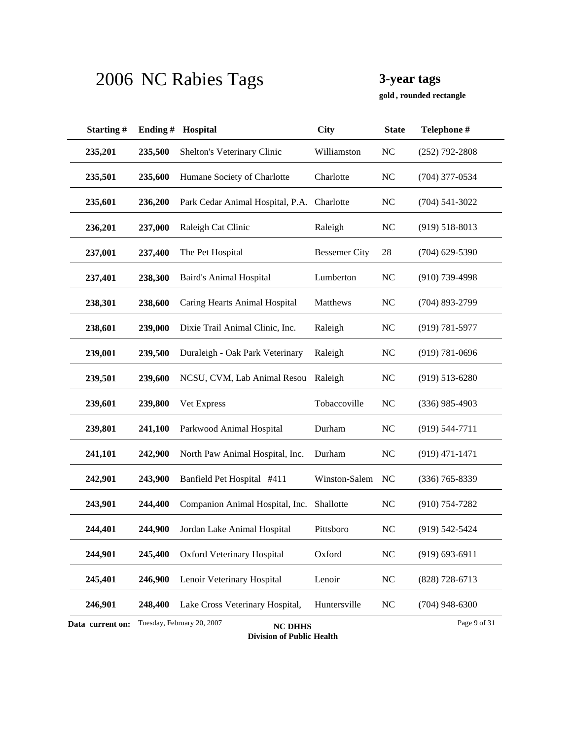**, rounded rectangle gold**

| Starting#        | Ending# | Hospital                                     | <b>City</b>          | <b>State</b>   | Telephone #        |
|------------------|---------|----------------------------------------------|----------------------|----------------|--------------------|
| 235,201          | 235,500 | Shelton's Veterinary Clinic                  | Williamston          | <b>NC</b>      | (252) 792-2808     |
| 235,501          | 235,600 | Humane Society of Charlotte                  | Charlotte            | NC             | $(704)$ 377-0534   |
| 235,601          | 236,200 | Park Cedar Animal Hospital, P.A. Charlotte   |                      | <b>NC</b>      | $(704)$ 541-3022   |
| 236,201          | 237,000 | Raleigh Cat Clinic                           | Raleigh              | <b>NC</b>      | $(919) 518 - 8013$ |
| 237,001          | 237,400 | The Pet Hospital                             | <b>Bessemer City</b> | 28             | $(704)$ 629-5390   |
| 237,401          | 238,300 | <b>Baird's Animal Hospital</b>               | Lumberton            | N <sub>C</sub> | $(910)$ 739-4998   |
| 238,301          | 238,600 | Caring Hearts Animal Hospital                | Matthews             | NC             | $(704)$ 893-2799   |
| 238,601          | 239,000 | Dixie Trail Animal Clinic, Inc.              | Raleigh              | <b>NC</b>      | $(919) 781 - 5977$ |
| 239,001          | 239,500 | Duraleigh - Oak Park Veterinary              | Raleigh              | N <sub>C</sub> | $(919) 781 - 0696$ |
| 239,501          | 239,600 | NCSU, CVM, Lab Animal Resou                  | Raleigh              | <b>NC</b>      | $(919) 513 - 6280$ |
| 239,601          | 239,800 | Vet Express                                  | Tobaccoville         | <b>NC</b>      | $(336)$ 985-4903   |
| 239,801          | 241,100 | Parkwood Animal Hospital                     | Durham               | NC             | $(919) 544 - 7711$ |
| 241,101          | 242,900 | North Paw Animal Hospital, Inc.              | Durham               | NC             | $(919)$ 471-1471   |
| 242,901          | 243,900 | Banfield Pet Hospital #411                   | Winston-Salem        | NC             | $(336)$ 765-8339   |
| 243,901          | 244,400 | Companion Animal Hospital, Inc.              | Shallotte            | <b>NC</b>      | $(910)$ 754-7282   |
| 244,401          | 244,900 | Jordan Lake Animal Hospital                  | Pittsboro            | N <sub>C</sub> | $(919) 542 - 5424$ |
| 244,901          | 245,400 | <b>Oxford Veterinary Hospital</b>            | Oxford               | NC             | $(919) 693 - 6911$ |
| 245,401          | 246,900 | Lenoir Veterinary Hospital                   | Lenoir               | <b>NC</b>      | $(828)$ 728-6713   |
| 246,901          | 248,400 | Lake Cross Veterinary Hospital,              | Huntersville         | <b>NC</b>      | $(704)$ 948-6300   |
| Data current on: |         | Tuesday, February 20, 2007<br><b>NC DHHS</b> |                      |                | Page 9 of 31       |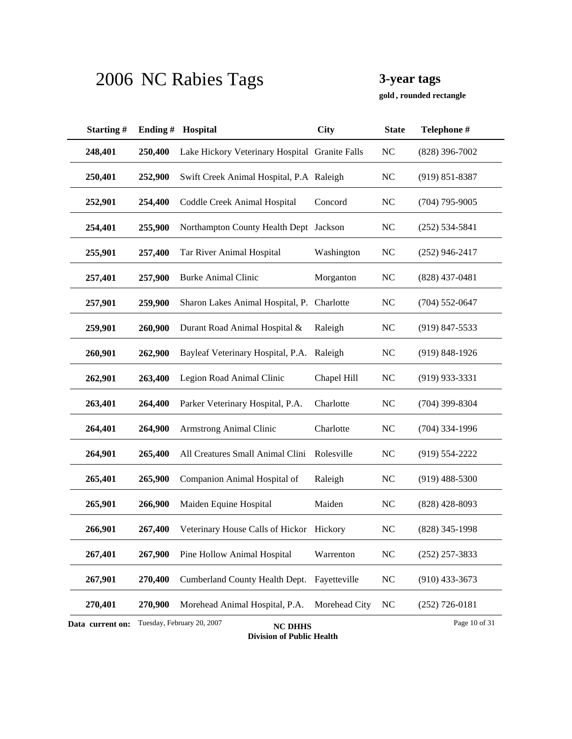**, rounded rectangle gold**

| Starting#        | Ending# | Hospital                                       | <b>City</b>   | <b>State</b>   | Telephone #        |
|------------------|---------|------------------------------------------------|---------------|----------------|--------------------|
| 248,401          | 250,400 | Lake Hickory Veterinary Hospital Granite Falls |               | N <sub>C</sub> | $(828)$ 396-7002   |
| 250,401          | 252,900 | Swift Creek Animal Hospital, P.A Raleigh       |               | N <sub>C</sub> | $(919) 851 - 8387$ |
| 252,901          | 254,400 | Coddle Creek Animal Hospital                   | Concord       | <b>NC</b>      | $(704)$ 795-9005   |
| 254,401          | 255,900 | Northampton County Health Dept Jackson         |               | <b>NC</b>      | $(252) 534 - 5841$ |
| 255,901          | 257,400 | Tar River Animal Hospital                      | Washington    | <b>NC</b>      | $(252)$ 946-2417   |
| 257,401          | 257,900 | <b>Burke Animal Clinic</b>                     | Morganton     | <b>NC</b>      | $(828)$ 437-0481   |
| 257,901          | 259,900 | Sharon Lakes Animal Hospital, P.               | Charlotte     | <b>NC</b>      | $(704)$ 552-0647   |
| 259,901          | 260,900 | Durant Road Animal Hospital &                  | Raleigh       | <b>NC</b>      | $(919)$ 847-5533   |
| 260,901          | 262,900 | Bayleaf Veterinary Hospital, P.A. Raleigh      |               | NC             | $(919) 848 - 1926$ |
| 262,901          | 263,400 | Legion Road Animal Clinic                      | Chapel Hill   | <b>NC</b>      | $(919)$ 933-3331   |
| 263,401          | 264,400 | Parker Veterinary Hospital, P.A.               | Charlotte     | <b>NC</b>      | $(704)$ 399-8304   |
| 264,401          | 264,900 | <b>Armstrong Animal Clinic</b>                 | Charlotte     | N <sub>C</sub> | $(704)$ 334-1996   |
| 264,901          | 265,400 | All Creatures Small Animal Clini               | Rolesville    | N <sub>C</sub> | $(919) 554 - 2222$ |
| 265,401          | 265,900 | Companion Animal Hospital of                   | Raleigh       | <b>NC</b>      | $(919)$ 488-5300   |
| 265,901          | 266,900 | Maiden Equine Hospital                         | Maiden        | <b>NC</b>      | $(828)$ 428-8093   |
| 266,901          | 267,400 | Veterinary House Calls of Hickor Hickory       |               | <b>NC</b>      | $(828)$ 345-1998   |
| 267,401          | 267,900 | Pine Hollow Animal Hospital                    | Warrenton     | <b>NC</b>      | $(252)$ 257-3833   |
| 267,901          | 270,400 | Cumberland County Health Dept.                 | Fayetteville  | <b>NC</b>      | $(910)$ 433-3673   |
| 270,401          | 270,900 | Morehead Animal Hospital, P.A.                 | Morehead City | NC             | $(252)$ 726-0181   |
| Data current on: |         | Tuesday, February 20, 2007<br><b>NC DHHS</b>   |               |                | Page 10 of 31      |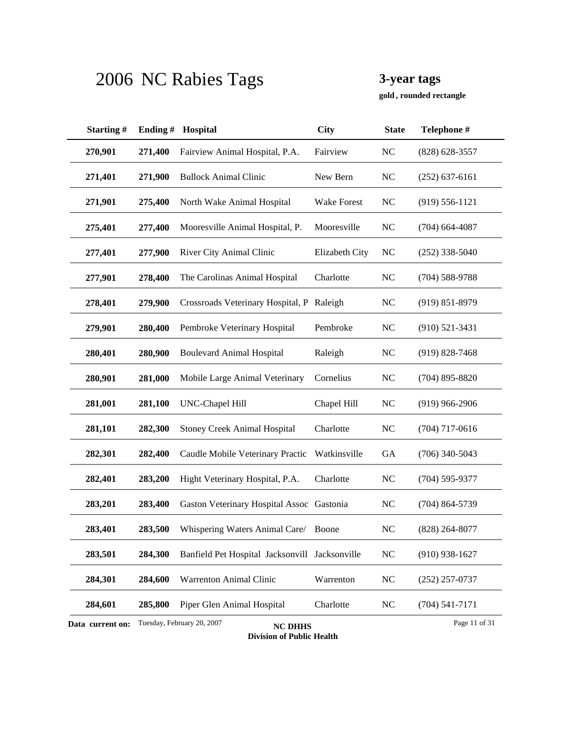**, rounded rectangle gold**

| Starting#                                                                         | Ending# | Hospital                                       | <b>City</b>        | <b>State</b>   | Telephone #        |  |
|-----------------------------------------------------------------------------------|---------|------------------------------------------------|--------------------|----------------|--------------------|--|
| 270,901                                                                           | 271,400 | Fairview Animal Hospital, P.A.                 | Fairview           | N <sub>C</sub> | $(828) 628 - 3557$ |  |
| 271,401                                                                           | 271,900 | <b>Bullock Animal Clinic</b>                   | New Bern           | <b>NC</b>      | $(252)$ 637-6161   |  |
| 271,901                                                                           | 275,400 | North Wake Animal Hospital                     | <b>Wake Forest</b> | NC             | $(919) 556 - 1121$ |  |
| 275,401                                                                           | 277,400 | Mooresville Animal Hospital, P.                | Mooresville        | <b>NC</b>      | $(704)$ 664-4087   |  |
| 277,401                                                                           | 277,900 | River City Animal Clinic                       | Elizabeth City     | NC             | $(252)$ 338-5040   |  |
| 277,901                                                                           | 278,400 | The Carolinas Animal Hospital                  | Charlotte          | <b>NC</b>      | $(704)$ 588-9788   |  |
| 278,401                                                                           | 279,900 | Crossroads Veterinary Hospital, P              | Raleigh            | <b>NC</b>      | $(919) 851 - 8979$ |  |
| 279,901                                                                           | 280,400 | Pembroke Veterinary Hospital                   | Pembroke           | <b>NC</b>      | $(910) 521 - 3431$ |  |
| 280,401                                                                           | 280,900 | <b>Boulevard Animal Hospital</b>               | Raleigh            | NC             | $(919) 828 - 7468$ |  |
| 280,901                                                                           | 281,000 | Mobile Large Animal Veterinary                 | Cornelius          | <b>NC</b>      | $(704)$ 895-8820   |  |
| 281,001                                                                           | 281,100 | <b>UNC-Chapel Hill</b>                         | Chapel Hill        | <b>NC</b>      | $(919)$ 966-2906   |  |
| 281,101                                                                           | 282,300 | <b>Stoney Creek Animal Hospital</b>            | Charlotte          | <b>NC</b>      | $(704)$ 717-0616   |  |
| 282,301                                                                           | 282,400 | Caudle Mobile Veterinary Practic               | Watkinsville       | <b>GA</b>      | $(706)$ 340-5043   |  |
| 282,401                                                                           | 283,200 | Hight Veterinary Hospital, P.A.                | Charlotte          | <b>NC</b>      | $(704)$ 595-9377   |  |
| 283,201                                                                           | 283,400 | Gaston Veterinary Hospital Assoc Gastonia      |                    | <b>NC</b>      | $(704) 864 - 5739$ |  |
| 283,401                                                                           | 283,500 | Whispering Waters Animal Care/                 | Boone              | N <sub>C</sub> | $(828) 264 - 8077$ |  |
| 283,501                                                                           | 284,300 | Banfield Pet Hospital Jacksonvill Jacksonville |                    | NC             | $(910)$ 938-1627   |  |
| 284,301                                                                           | 284,600 | Warrenton Animal Clinic                        | Warrenton          | <b>NC</b>      | $(252)$ 257-0737   |  |
| 284,601                                                                           | 285,800 | Piper Glen Animal Hospital                     | Charlotte          | NC             | $(704) 541 - 7171$ |  |
| Tuesday, February 20, 2007<br>Page 11 of 31<br>Data current on:<br><b>NC DHHS</b> |         |                                                |                    |                |                    |  |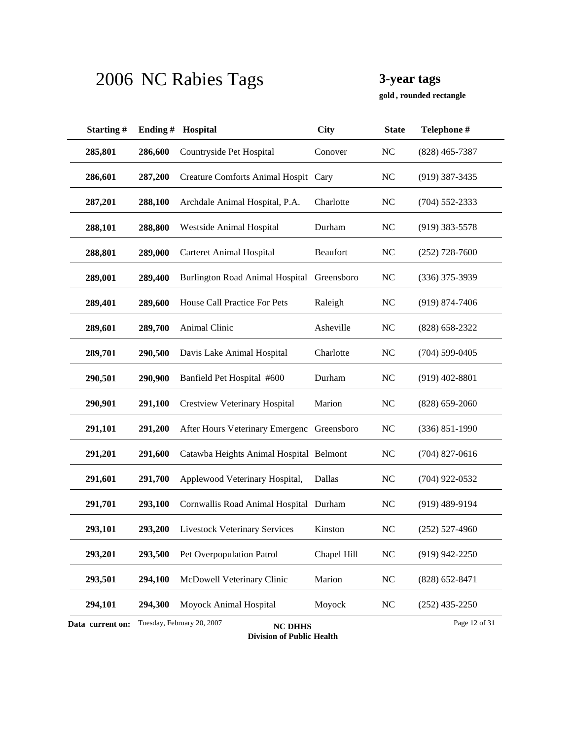**, rounded rectangle gold**

| Starting#        | Ending# | Hospital                                     | <b>City</b> | <b>State</b>   | Telephone #        |
|------------------|---------|----------------------------------------------|-------------|----------------|--------------------|
| 285,801          | 286,600 | Countryside Pet Hospital                     | Conover     | NC             | $(828)$ 465-7387   |
| 286,601          | 287,200 | <b>Creature Comforts Animal Hospit</b>       | Cary        | N <sub>C</sub> | $(919)$ 387-3435   |
| 287,201          | 288,100 | Archdale Animal Hospital, P.A.               | Charlotte   | <b>NC</b>      | $(704)$ 552-2333   |
| 288,101          | 288,800 | Westside Animal Hospital                     | Durham      | <b>NC</b>      | $(919)$ 383-5578   |
| 288,801          | 289,000 | <b>Carteret Animal Hospital</b>              | Beaufort    | N <sub>C</sub> | $(252)$ 728-7600   |
| 289,001          | 289,400 | <b>Burlington Road Animal Hospital</b>       | Greensboro  | <b>NC</b>      | $(336)$ 375-3939   |
| 289,401          | 289,600 | House Call Practice For Pets                 | Raleigh     | <b>NC</b>      | $(919) 874 - 7406$ |
| 289,601          | 289,700 | Animal Clinic                                | Asheville   | <b>NC</b>      | $(828) 658 - 2322$ |
| 289,701          | 290,500 | Davis Lake Animal Hospital                   | Charlotte   | N <sub>C</sub> | $(704)$ 599-0405   |
| 290,501          | 290,900 | Banfield Pet Hospital #600                   | Durham      | N <sub>C</sub> | $(919)$ 402-8801   |
| 290,901          | 291,100 | <b>Crestview Veterinary Hospital</b>         | Marion      | <b>NC</b>      | $(828)$ 659-2060   |
| 291,101          | 291,200 | After Hours Veterinary Emergenc Greensboro   |             | <b>NC</b>      | $(336) 851 - 1990$ |
| 291,201          | 291,600 | Catawba Heights Animal Hospital Belmont      |             | N <sub>C</sub> | $(704)$ 827-0616   |
| 291,601          | 291,700 | Applewood Veterinary Hospital,               | Dallas      | <b>NC</b>      | $(704)$ 922-0532   |
| 291,701          | 293,100 | Cornwallis Road Animal Hospital Durham       |             | NC             | $(919)$ 489-9194   |
| 293,101          | 293,200 | <b>Livestock Veterinary Services</b>         | Kinston     | N <sub>C</sub> | $(252)$ 527-4960   |
| 293,201          | 293,500 | Pet Overpopulation Patrol                    | Chapel Hill | NC             | $(919)$ 942-2250   |
| 293,501          | 294,100 | McDowell Veterinary Clinic                   | Marion      | $\rm NC$       | $(828) 652 - 8471$ |
| 294,101          | 294,300 | Moyock Animal Hospital                       | Moyock      | $\rm NC$       | $(252)$ 435-2250   |
| Data current on: |         | Tuesday, February 20, 2007<br><b>NC DHHS</b> |             |                | Page 12 of 31      |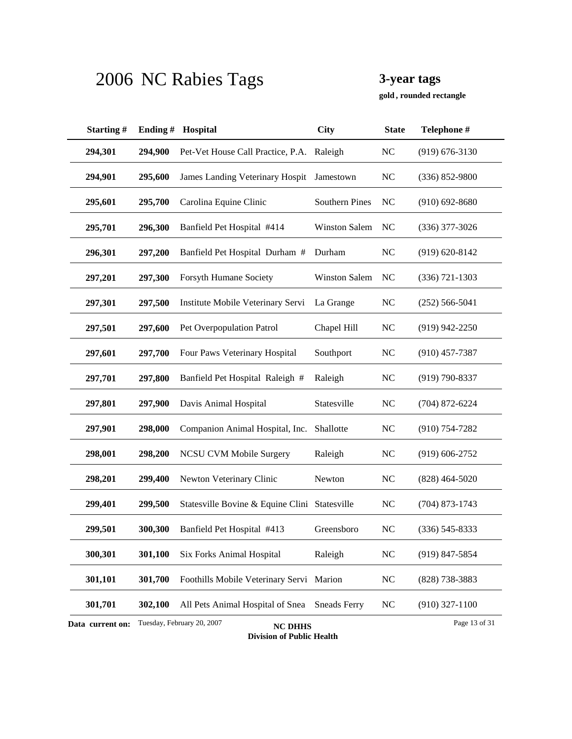**, rounded rectangle gold**

| Starting#                                                                         | Ending# | Hospital                                      | <b>City</b>           | <b>State</b>   | Telephone #        |  |
|-----------------------------------------------------------------------------------|---------|-----------------------------------------------|-----------------------|----------------|--------------------|--|
| 294,301                                                                           | 294,900 | Pet-Vet House Call Practice, P.A. Raleigh     |                       | NC             | $(919) 676 - 3130$ |  |
| 294,901                                                                           | 295,600 | James Landing Veterinary Hospit               | Jamestown             | N <sub>C</sub> | $(336) 852 - 9800$ |  |
| 295,601                                                                           | 295,700 | Carolina Equine Clinic                        | <b>Southern Pines</b> | NC             | $(910) 692 - 8680$ |  |
| 295,701                                                                           | 296,300 | Banfield Pet Hospital #414                    | <b>Winston Salem</b>  | NC             | $(336)$ 377-3026   |  |
| 296,301                                                                           | 297,200 | Banfield Pet Hospital Durham #                | Durham                | NC             | $(919) 620 - 8142$ |  |
| 297,201                                                                           | 297,300 | Forsyth Humane Society                        | <b>Winston Salem</b>  | N <sub>C</sub> | $(336) 721 - 1303$ |  |
| 297,301                                                                           | 297,500 | Institute Mobile Veterinary Servi             | La Grange             | <b>NC</b>      | $(252)$ 566-5041   |  |
| 297,501                                                                           | 297,600 | Pet Overpopulation Patrol                     | Chapel Hill           | <b>NC</b>      | $(919)$ 942-2250   |  |
| 297,601                                                                           | 297,700 | Four Paws Veterinary Hospital                 | Southport             | N <sub>C</sub> | $(910)$ 457-7387   |  |
| 297,701                                                                           | 297,800 | Banfield Pet Hospital Raleigh #               | Raleigh               | N <sub>C</sub> | $(919) 790 - 8337$ |  |
| 297,801                                                                           | 297,900 | Davis Animal Hospital                         | Statesville           | NC             | $(704)$ 872-6224   |  |
| 297,901                                                                           | 298,000 | Companion Animal Hospital, Inc. Shallotte     |                       | <b>NC</b>      | $(910)$ 754-7282   |  |
| 298,001                                                                           | 298,200 | <b>NCSU CVM Mobile Surgery</b>                | Raleigh               | N <sub>C</sub> | $(919) 606 - 2752$ |  |
| 298,201                                                                           | 299,400 | Newton Veterinary Clinic                      | Newton                | <b>NC</b>      | $(828)$ 464-5020   |  |
| 299,401                                                                           | 299,500 | Statesville Bovine & Equine Clini Statesville |                       | <b>NC</b>      | $(704)$ 873-1743   |  |
| 299,501                                                                           | 300,300 | Banfield Pet Hospital #413                    | Greensboro            | N <sub>C</sub> | $(336)$ 545-8333   |  |
| 300,301                                                                           | 301,100 | <b>Six Forks Animal Hospital</b>              | Raleigh               | NC             | $(919)$ 847-5854   |  |
| 301,101                                                                           | 301,700 | Foothills Mobile Veterinary Servi Marion      |                       | NC             | (828) 738-3883     |  |
| 301,701                                                                           | 302,100 | All Pets Animal Hospital of Snea              | <b>Sneads Ferry</b>   | NC             | $(910)$ 327-1100   |  |
| Tuesday, February 20, 2007<br>Page 13 of 31<br>Data current on:<br><b>NC DHHS</b> |         |                                               |                       |                |                    |  |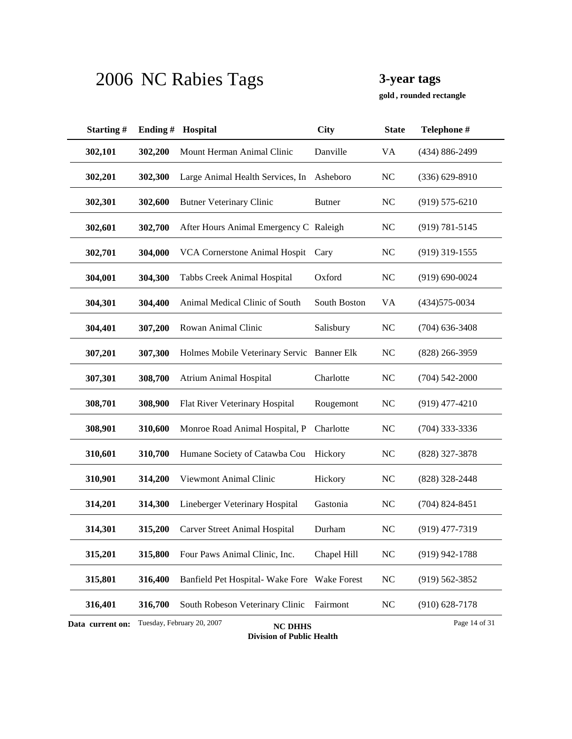**, rounded rectangle gold**

| Starting#        | Ending# | Hospital                                     | City          | <b>State</b>   | Telephone #        |
|------------------|---------|----------------------------------------------|---------------|----------------|--------------------|
| 302,101          | 302,200 | Mount Herman Animal Clinic                   | Danville      | <b>VA</b>      | (434) 886-2499     |
| 302,201          | 302,300 | Large Animal Health Services, In             | Asheboro      | NC             | $(336) 629 - 8910$ |
| 302,301          | 302,600 | <b>Butner Veterinary Clinic</b>              | <b>Butner</b> | N <sub>C</sub> | $(919) 575 - 6210$ |
| 302,601          | 302,700 | After Hours Animal Emergency C Raleigh       |               | <b>NC</b>      | $(919) 781 - 5145$ |
| 302,701          | 304,000 | VCA Cornerstone Animal Hospit                | Cary          | N <sub>C</sub> | $(919)$ 319-1555   |
| 304,001          | 304,300 | Tabbs Creek Animal Hospital                  | Oxford        | N <sub>C</sub> | $(919) 690 - 0024$ |
| 304,301          | 304,400 | Animal Medical Clinic of South               | South Boston  | VA             | $(434)575 - 0034$  |
| 304,401          | 307,200 | Rowan Animal Clinic                          | Salisbury     | N <sub>C</sub> | $(704)$ 636-3408   |
| 307,201          | 307,300 | Holmes Mobile Veterinary Servic Banner Elk   |               | N <sub>C</sub> | $(828)$ 266-3959   |
| 307,301          | 308,700 | <b>Atrium Animal Hospital</b>                | Charlotte     | <b>NC</b>      | $(704) 542 - 2000$ |
| 308,701          | 308,900 | Flat River Veterinary Hospital               | Rougemont     | N <sub>C</sub> | $(919)$ 477-4210   |
| 308,901          | 310,600 | Monroe Road Animal Hospital, P               | Charlotte     | <b>NC</b>      | $(704)$ 333-3336   |
| 310,601          | 310,700 | Humane Society of Catawba Cou                | Hickory       | N <sub>C</sub> | (828) 327-3878     |
| 310,901          | 314,200 | Viewmont Animal Clinic                       | Hickory       | <b>NC</b>      | (828) 328-2448     |
| 314,201          | 314,300 | Lineberger Veterinary Hospital               | Gastonia      | <b>NC</b>      | $(704)$ 824-8451   |
| 314,301          | 315,200 | Carver Street Animal Hospital                | Durham        | N <sub>C</sub> | $(919)$ 477-7319   |
| 315,201          | 315,800 | Four Paws Animal Clinic, Inc.                | Chapel Hill   | <b>NC</b>      | $(919)$ 942-1788   |
| 315,801          | 316,400 | Banfield Pet Hospital-Wake Fore Wake Forest  |               | <b>NC</b>      | $(919) 562 - 3852$ |
| 316,401          | 316,700 | South Robeson Veterinary Clinic              | Fairmont      | NC             | $(910)$ 628-7178   |
| Data current on: |         | Tuesday, February 20, 2007<br><b>NC DHHS</b> |               |                | Page 14 of 31      |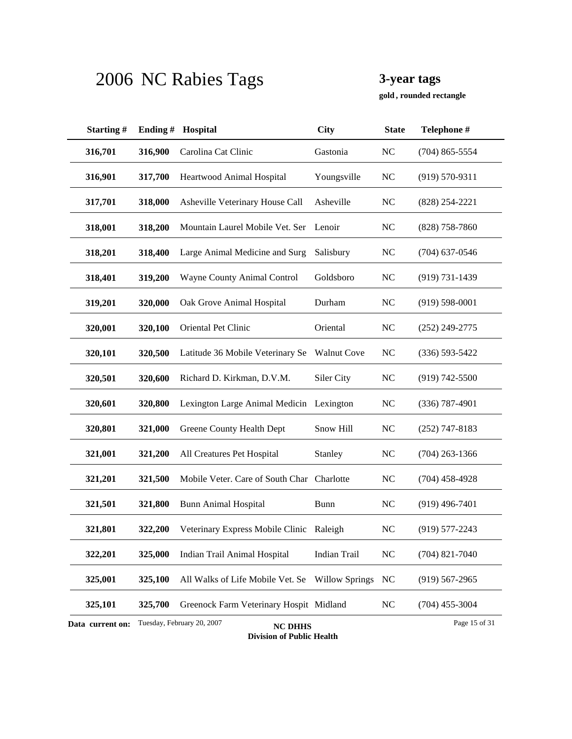**, rounded rectangle gold**

| Starting#        | Ending# | Hospital                                     | <b>City</b>           | <b>State</b>   | Telephone #        |
|------------------|---------|----------------------------------------------|-----------------------|----------------|--------------------|
| 316,701          | 316,900 | Carolina Cat Clinic                          | Gastonia              | NC             | $(704)$ 865-5554   |
| 316,901          | 317,700 | Heartwood Animal Hospital                    | Youngsville           | N <sub>C</sub> | $(919) 570 - 9311$ |
| 317,701          | 318,000 | Asheville Veterinary House Call              | Asheville             | <b>NC</b>      | $(828)$ 254-2221   |
| 318,001          | 318,200 | Mountain Laurel Mobile Vet. Ser              | Lenoir                | <b>NC</b>      | $(828)$ 758-7860   |
| 318,201          | 318,400 | Large Animal Medicine and Surg               | Salisbury             | N <sub>C</sub> | $(704)$ 637-0546   |
| 318,401          | 319,200 | Wayne County Animal Control                  | Goldsboro             | <b>NC</b>      | $(919) 731 - 1439$ |
| 319,201          | 320,000 | Oak Grove Animal Hospital                    | Durham                | N <sub>C</sub> | $(919) 598 - 0001$ |
| 320,001          | 320,100 | Oriental Pet Clinic                          | Oriental              | <b>NC</b>      | $(252)$ 249-2775   |
| 320,101          | 320,500 | Latitude 36 Mobile Veterinary Se             | <b>Walnut Cove</b>    | N <sub>C</sub> | $(336) 593 - 5422$ |
| 320,501          | 320,600 | Richard D. Kirkman, D.V.M.                   | Siler City            | N <sub>C</sub> | $(919) 742 - 5500$ |
| 320,601          | 320,800 | Lexington Large Animal Medicin Lexington     |                       | <b>NC</b>      | $(336)$ 787-4901   |
| 320,801          | 321,000 | Greene County Health Dept                    | Snow Hill             | <b>NC</b>      | $(252)$ 747-8183   |
| 321,001          | 321,200 | All Creatures Pet Hospital                   | Stanley               | N <sub>C</sub> | $(704)$ 263-1366   |
| 321,201          | 321,500 | Mobile Veter. Care of South Char Charlotte   |                       | NC             | $(704)$ 458-4928   |
| 321,501          | 321,800 | <b>Bunn Animal Hospital</b>                  | <b>Bunn</b>           | NC             | $(919)$ 496-7401   |
| 321,801          | 322,200 | Veterinary Express Mobile Clinic             | Raleigh               | N <sub>C</sub> | $(919) 577 - 2243$ |
| 322,201          | 325,000 | Indian Trail Animal Hospital                 | Indian Trail          | <b>NC</b>      | $(704)$ 821-7040   |
| 325,001          | 325,100 | All Walks of Life Mobile Vet. Se             | <b>Willow Springs</b> | <b>NC</b>      | $(919)$ 567-2965   |
| 325,101          | 325,700 | Greenock Farm Veterinary Hospit Midland      |                       | $\rm NC$       | $(704)$ 455-3004   |
| Data current on: |         | Tuesday, February 20, 2007<br><b>NC DHHS</b> |                       |                | Page 15 of 31      |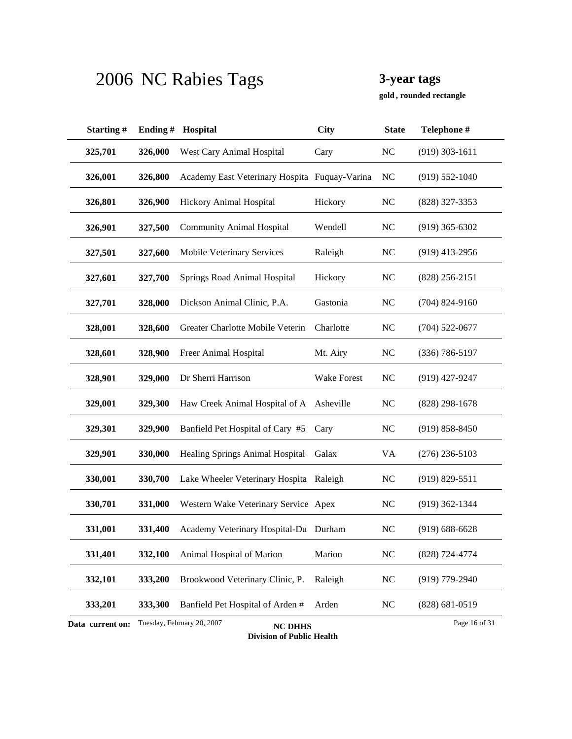**, rounded rectangle gold**

| Starting#        | Ending# | Hospital                                      | <b>City</b> | <b>State</b>   | Telephone #        |
|------------------|---------|-----------------------------------------------|-------------|----------------|--------------------|
| 325,701          | 326,000 | West Cary Animal Hospital                     | Cary        | N <sub>C</sub> | $(919)$ 303-1611   |
| 326,001          | 326,800 | Academy East Veterinary Hospita Fuquay-Varina |             | N <sub>C</sub> | $(919) 552 - 1040$ |
| 326,801          | 326,900 | Hickory Animal Hospital                       | Hickory     | <b>NC</b>      | (828) 327-3353     |
| 326,901          | 327,500 | <b>Community Animal Hospital</b>              | Wendell     | <b>NC</b>      | $(919)$ 365-6302   |
| 327,501          | 327,600 | Mobile Veterinary Services                    | Raleigh     | <b>NC</b>      | $(919)$ 413-2956   |
| 327,601          | 327,700 | Springs Road Animal Hospital                  | Hickory     | <b>NC</b>      | $(828)$ 256-2151   |
| 327,701          | 328,000 | Dickson Animal Clinic, P.A.                   | Gastonia    | <b>NC</b>      | $(704)$ 824-9160   |
| 328,001          | 328,600 | Greater Charlotte Mobile Veterin              | Charlotte   | <b>NC</b>      | $(704)$ 522-0677   |
| 328,601          | 328,900 | Freer Animal Hospital                         | Mt. Airy    | N <sub>C</sub> | $(336) 786 - 5197$ |
| 328,901          | 329,000 | Dr Sherri Harrison                            | Wake Forest | N <sub>C</sub> | $(919)$ 427-9247   |
| 329,001          | 329,300 | Haw Creek Animal Hospital of A                | Asheville   | <b>NC</b>      | $(828)$ 298-1678   |
| 329,301          | 329,900 | Banfield Pet Hospital of Cary #5              | Cary        | <b>NC</b>      | $(919) 858 - 8450$ |
| 329,901          | 330,000 | Healing Springs Animal Hospital               | Galax       | VA             | $(276)$ 236-5103   |
| 330,001          | 330,700 | Lake Wheeler Veterinary Hospita Raleigh       |             | <b>NC</b>      | $(919) 829 - 5511$ |
| 330,701          | 331,000 | Western Wake Veterinary Service Apex          |             | <b>NC</b>      | $(919)$ 362-1344   |
| 331,001          | 331,400 | Academy Veterinary Hospital-Du Durham         |             | <b>NC</b>      | $(919) 688 - 6628$ |
| 331,401          | 332,100 | Animal Hospital of Marion                     | Marion      | NC             | (828) 724-4774     |
| 332,101          | 333,200 | Brookwood Veterinary Clinic, P.               | Raleigh     | <b>NC</b>      | $(919)$ 779-2940   |
| 333,201          | 333,300 | Banfield Pet Hospital of Arden #              | Arden       | <b>NC</b>      | $(828) 681 - 0519$ |
| Data current on: |         | Tuesday, February 20, 2007<br><b>NC DHHS</b>  |             |                | Page 16 of 31      |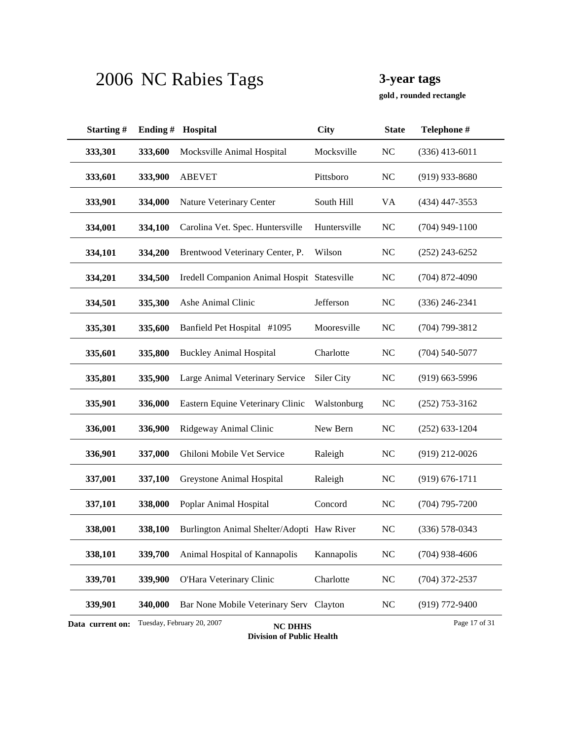**, rounded rectangle gold**

| Starting#        | Ending# | Hospital                                     | <b>City</b>  | <b>State</b> | Telephone #        |
|------------------|---------|----------------------------------------------|--------------|--------------|--------------------|
| 333,301          | 333,600 | Mocksville Animal Hospital                   | Mocksville   | NC           | $(336)$ 413-6011   |
| 333,601          | 333,900 | <b>ABEVET</b>                                | Pittsboro    | NC           | $(919)$ 933-8680   |
| 333,901          | 334,000 | Nature Veterinary Center                     | South Hill   | VA           | $(434)$ 447-3553   |
| 334,001          | 334,100 | Carolina Vet. Spec. Huntersville             | Huntersville | <b>NC</b>    | $(704)$ 949-1100   |
| 334,101          | 334,200 | Brentwood Veterinary Center, P.              | Wilson       | <b>NC</b>    | $(252)$ 243-6252   |
| 334,201          | 334,500 | Iredell Companion Animal Hospit Statesville  |              | <b>NC</b>    | $(704)$ 872-4090   |
| 334,501          | 335,300 | Ashe Animal Clinic                           | Jefferson    | NC           | $(336)$ 246-2341   |
| 335,301          | 335,600 | Banfield Pet Hospital #1095                  | Mooresville  | NC           | $(704)$ 799-3812   |
| 335,601          | 335,800 | <b>Buckley Animal Hospital</b>               | Charlotte    | NC           | $(704)$ 540-5077   |
| 335,801          | 335,900 | Large Animal Veterinary Service              | Siler City   | NC           | $(919)$ 663-5996   |
| 335,901          | 336,000 | Eastern Equine Veterinary Clinic             | Walstonburg  | <b>NC</b>    | $(252)$ 753-3162   |
| 336,001          | 336,900 | Ridgeway Animal Clinic                       | New Bern     | NC           | $(252)$ 633-1204   |
| 336,901          | 337,000 | Ghiloni Mobile Vet Service                   | Raleigh      | NC           | $(919)$ 212-0026   |
| 337,001          | 337,100 | Greystone Animal Hospital                    | Raleigh      | NC           | $(919) 676 - 1711$ |
| 337,101          | 338,000 | Poplar Animal Hospital                       | Concord      | NC           | $(704)$ 795-7200   |
| 338,001          | 338,100 | Burlington Animal Shelter/Adopti Haw River   |              | NC           | $(336) 578 - 0343$ |
| 338,101          | 339,700 | Animal Hospital of Kannapolis                | Kannapolis   | <b>NC</b>    | $(704)$ 938-4606   |
| 339,701          | 339,900 | O'Hara Veterinary Clinic                     | Charlotte    | $\rm NC$     | $(704)$ 372-2537   |
| 339,901          | 340,000 | Bar None Mobile Veterinary Serv Clayton      |              | <b>NC</b>    | $(919)$ 772-9400   |
| Data current on: |         | Tuesday, February 20, 2007<br><b>NC DHHS</b> |              |              | Page 17 of 31      |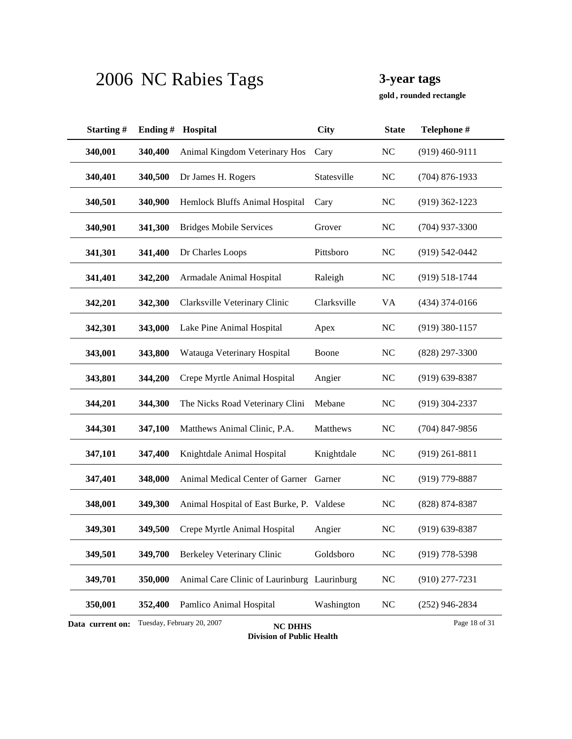**, rounded rectangle gold**

| Starting#        | Ending# | Hospital                                     | <b>City</b> | <b>State</b>   | Telephone #        |
|------------------|---------|----------------------------------------------|-------------|----------------|--------------------|
| 340,001          | 340,400 | Animal Kingdom Veterinary Hos                | Cary        | NC             | $(919)$ 460-9111   |
| 340,401          | 340,500 | Dr James H. Rogers                           | Statesville | <b>NC</b>      | $(704)$ 876-1933   |
| 340,501          | 340,900 | Hemlock Bluffs Animal Hospital               | Cary        | <b>NC</b>      | $(919)$ 362-1223   |
| 340,901          | 341,300 | <b>Bridges Mobile Services</b>               | Grover      | <b>NC</b>      | $(704)$ 937-3300   |
| 341,301          | 341,400 | Dr Charles Loops                             | Pittsboro   | NC             | $(919) 542 - 0442$ |
| 341,401          | 342,200 | Armadale Animal Hospital                     | Raleigh     | <b>NC</b>      | $(919) 518 - 1744$ |
| 342,201          | 342,300 | Clarksville Veterinary Clinic                | Clarksville | VA             | $(434)$ 374-0166   |
| 342,301          | 343,000 | Lake Pine Animal Hospital                    | Apex        | N <sub>C</sub> | $(919)$ 380-1157   |
| 343,001          | 343,800 | Watauga Veterinary Hospital                  | Boone       | NC             | $(828)$ 297-3300   |
| 343,801          | 344,200 | Crepe Myrtle Animal Hospital                 | Angier      | <b>NC</b>      | $(919)$ 639-8387   |
| 344,201          | 344,300 | The Nicks Road Veterinary Clini              | Mebane      | NC             | $(919)$ 304-2337   |
| 344,301          | 347,100 | Matthews Animal Clinic, P.A.                 | Matthews    | <b>NC</b>      | $(704)$ 847-9856   |
| 347,101          | 347,400 | Knightdale Animal Hospital                   | Knightdale  | <b>NC</b>      | $(919)$ 261-8811   |
| 347,401          | 348,000 | Animal Medical Center of Garner              | Garner      | <b>NC</b>      | $(919)$ 779-8887   |
| 348,001          | 349,300 | Animal Hospital of East Burke, P. Valdese    |             | <b>NC</b>      | (828) 874-8387     |
| 349,301          | 349,500 | Crepe Myrtle Animal Hospital                 | Angier      | NC             | $(919)$ 639-8387   |
| 349,501          | 349,700 | <b>Berkeley Veterinary Clinic</b>            | Goldsboro   | <b>NC</b>      | $(919)$ 778-5398   |
| 349,701          | 350,000 | Animal Care Clinic of Laurinburg Laurinburg  |             | <b>NC</b>      | $(910)$ 277-7231   |
| 350,001          | 352,400 | Pamlico Animal Hospital                      | Washington  | <b>NC</b>      | $(252)$ 946-2834   |
| Data current on: |         | Tuesday, February 20, 2007<br><b>NC DHHS</b> |             |                | Page 18 of 31      |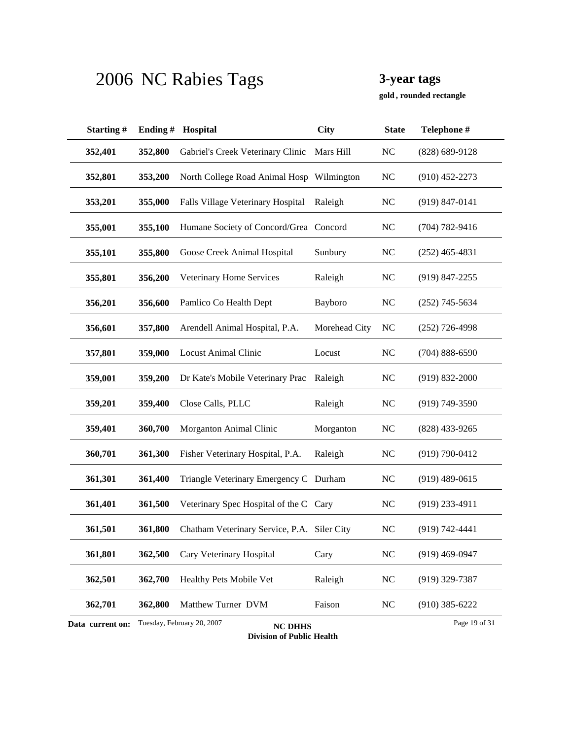**, rounded rectangle gold**

| Starting#                                                                         | Ending# | Hospital                                    | <b>City</b>   | <b>State</b>   | Telephone #        |  |
|-----------------------------------------------------------------------------------|---------|---------------------------------------------|---------------|----------------|--------------------|--|
| 352,401                                                                           | 352,800 | Gabriel's Creek Veterinary Clinic           | Mars Hill     | NC             | $(828) 689 - 9128$ |  |
| 352,801                                                                           | 353,200 | North College Road Animal Hosp Wilmington   |               | N <sub>C</sub> | $(910)$ 452-2273   |  |
| 353,201                                                                           | 355,000 | Falls Village Veterinary Hospital           | Raleigh       | <b>NC</b>      | $(919) 847 - 0141$ |  |
| 355,001                                                                           | 355,100 | Humane Society of Concord/Grea Concord      |               | NC             | $(704) 782 - 9416$ |  |
| 355,101                                                                           | 355,800 | Goose Creek Animal Hospital                 | Sunbury       | NC             | $(252)$ 465-4831   |  |
| 355,801                                                                           | 356,200 | Veterinary Home Services                    | Raleigh       | N <sub>C</sub> | $(919)$ 847-2255   |  |
| 356,201                                                                           | 356,600 | Pamlico Co Health Dept                      | Bayboro       | <b>NC</b>      | $(252)$ 745-5634   |  |
| 356,601                                                                           | 357,800 | Arendell Animal Hospital, P.A.              | Morehead City | <b>NC</b>      | $(252)$ 726-4998   |  |
| 357,801                                                                           | 359,000 | <b>Locust Animal Clinic</b>                 | Locust        | N <sub>C</sub> | $(704) 888 - 6590$ |  |
| 359,001                                                                           | 359,200 | Dr Kate's Mobile Veterinary Prac            | Raleigh       | <b>NC</b>      | $(919) 832 - 2000$ |  |
| 359,201                                                                           | 359,400 | Close Calls, PLLC                           | Raleigh       | NC             | $(919) 749 - 3590$ |  |
| 359,401                                                                           | 360,700 | Morganton Animal Clinic                     | Morganton     | N <sub>C</sub> | $(828)$ 433-9265   |  |
| 360,701                                                                           | 361,300 | Fisher Veterinary Hospital, P.A.            | Raleigh       | N <sub>C</sub> | $(919) 790 - 0412$ |  |
| 361,301                                                                           | 361,400 | Triangle Veterinary Emergency C Durham      |               | <b>NC</b>      | $(919)$ 489-0615   |  |
| 361,401                                                                           | 361,500 | Veterinary Spec Hospital of the C           | Cary          | <b>NC</b>      | $(919)$ 233-4911   |  |
| 361,501                                                                           | 361,800 | Chatham Veterinary Service, P.A. Siler City |               | NC             | $(919) 742 - 4441$ |  |
| 361,801                                                                           | 362,500 | Cary Veterinary Hospital                    | Cary          | <b>NC</b>      | $(919)$ 469-0947   |  |
| 362,501                                                                           | 362,700 | Healthy Pets Mobile Vet                     | Raleigh       | <b>NC</b>      | $(919)$ 329-7387   |  |
| 362,701                                                                           | 362,800 | Matthew Turner DVM                          | Faison        | <b>NC</b>      | $(910)$ 385-6222   |  |
| Tuesday, February 20, 2007<br>Page 19 of 31<br>Data current on:<br><b>NC DHHS</b> |         |                                             |               |                |                    |  |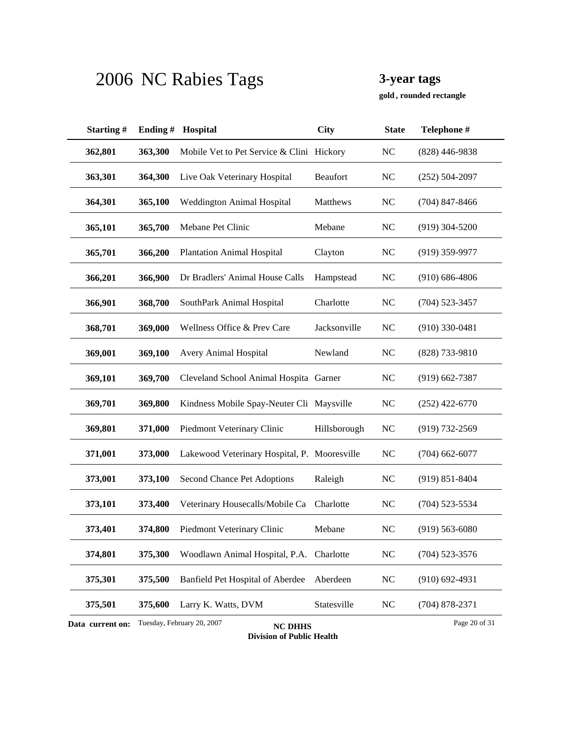**, rounded rectangle gold**

| Starting#        | Ending# | Hospital                                     | <b>City</b>     | <b>State</b>   | Telephone #        |
|------------------|---------|----------------------------------------------|-----------------|----------------|--------------------|
| 362,801          | 363,300 | Mobile Vet to Pet Service & Clini Hickory    |                 | N <sub>C</sub> | $(828)$ 446-9838   |
| 363,301          | 364,300 | Live Oak Veterinary Hospital                 | <b>Beaufort</b> | N <sub>C</sub> | $(252) 504 - 2097$ |
| 364,301          | 365,100 | Weddington Animal Hospital                   | Matthews        | NC             | $(704)$ 847-8466   |
| 365,101          | 365,700 | Mebane Pet Clinic                            | Mebane          | N <sub>C</sub> | $(919)$ 304-5200   |
| 365,701          | 366,200 | <b>Plantation Animal Hospital</b>            | Clayton         | N <sub>C</sub> | $(919)$ 359-9977   |
| 366,201          | 366,900 | Dr Bradlers' Animal House Calls              | Hampstead       | <b>NC</b>      | $(910)$ 686-4806   |
| 366,901          | 368,700 | SouthPark Animal Hospital                    | Charlotte       | N <sub>C</sub> | $(704)$ 523-3457   |
| 368,701          | 369,000 | Wellness Office & Prev Care                  | Jacksonville    | N <sub>C</sub> | $(910)$ 330-0481   |
| 369,001          | 369,100 | <b>Avery Animal Hospital</b>                 | Newland         | NC             | $(828)$ 733-9810   |
| 369,101          | 369,700 | Cleveland School Animal Hospita Garner       |                 | NC             | $(919) 662 - 7387$ |
| 369,701          | 369,800 | Kindness Mobile Spay-Neuter Cli Maysville    |                 | <b>NC</b>      | $(252)$ 422-6770   |
| 369,801          | 371,000 | Piedmont Veterinary Clinic                   | Hillsborough    | N <sub>C</sub> | $(919) 732 - 2569$ |
| 371,001          | 373,000 | Lakewood Veterinary Hospital, P. Mooresville |                 | N <sub>C</sub> | $(704)$ 662-6077   |
| 373,001          | 373,100 | Second Chance Pet Adoptions                  | Raleigh         | <b>NC</b>      | $(919) 851 - 8404$ |
| 373,101          | 373,400 | Veterinary Housecalls/Mobile Ca              | Charlotte       | <b>NC</b>      | $(704)$ 523-5534   |
| 373,401          | 374,800 | Piedmont Veterinary Clinic                   | Mebane          | N <sub>C</sub> | $(919) 563 - 6080$ |
| 374,801          | 375,300 | Woodlawn Animal Hospital, P.A. Charlotte     |                 | N <sub>C</sub> | $(704)$ 523-3576   |
| 375,301          | 375,500 | Banfield Pet Hospital of Aberdee             | Aberdeen        | <b>NC</b>      | $(910)$ 692-4931   |
| 375,501          | 375,600 | Larry K. Watts, DVM                          | Statesville     | <b>NC</b>      | $(704)$ 878-2371   |
| Data current on: |         | Tuesday, February 20, 2007<br><b>NC DHHS</b> |                 |                | Page 20 of 31      |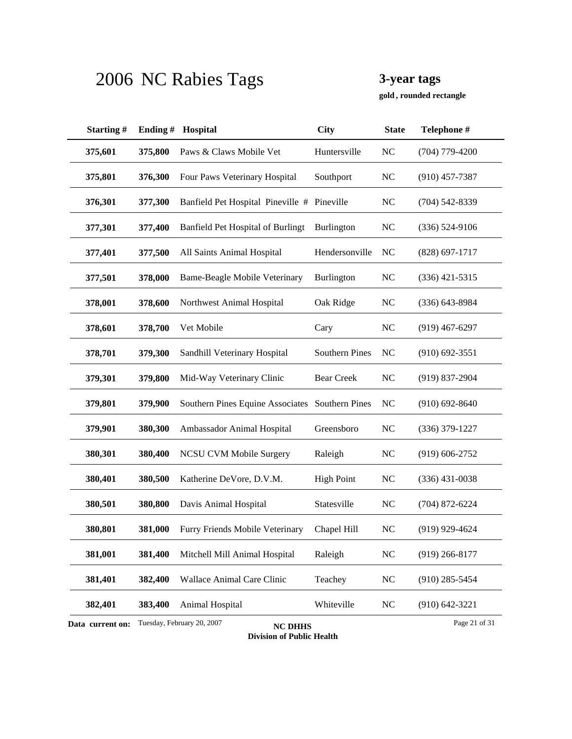**, rounded rectangle gold**

| Starting#        | Ending# | Hospital                                        | City                  | <b>State</b>   | Telephone #        |
|------------------|---------|-------------------------------------------------|-----------------------|----------------|--------------------|
| 375,601          | 375,800 | Paws & Claws Mobile Vet                         | Huntersville          | <b>NC</b>      | $(704)$ 779-4200   |
| 375,801          | 376,300 | Four Paws Veterinary Hospital                   | Southport             | NC             | $(910)$ 457-7387   |
| 376,301          | 377,300 | Banfield Pet Hospital Pineville #               | Pineville             | <b>NC</b>      | $(704)$ 542-8339   |
| 377,301          | 377,400 | <b>Banfield Pet Hospital of Burlingt</b>        | Burlington            | N <sub>C</sub> | (336) 524-9106     |
| 377,401          | 377,500 | All Saints Animal Hospital                      | Hendersonville        | NC             | $(828)$ 697-1717   |
| 377,501          | 378,000 | <b>Bame-Beagle Mobile Veterinary</b>            | Burlington            | N <sub>C</sub> | $(336)$ 421-5315   |
| 378,001          | 378,600 | Northwest Animal Hospital                       | Oak Ridge             | N <sub>C</sub> | $(336)$ 643-8984   |
| 378,601          | 378,700 | Vet Mobile                                      | Cary                  | N <sub>C</sub> | $(919)$ 467-6297   |
| 378,701          | 379,300 | Sandhill Veterinary Hospital                    | <b>Southern Pines</b> | N <sub>C</sub> | $(910)$ 692-3551   |
| 379,301          | 379,800 | Mid-Way Veterinary Clinic                       | <b>Bear Creek</b>     | N <sub>C</sub> | $(919)$ 837-2904   |
| 379,801          | 379,900 | Southern Pines Equine Associates Southern Pines |                       | N <sub>C</sub> | $(910)$ 692-8640   |
| 379,901          | 380,300 | Ambassador Animal Hospital                      | Greensboro            | <b>NC</b>      | $(336)$ 379-1227   |
| 380,301          | 380,400 | <b>NCSU CVM Mobile Surgery</b>                  | Raleigh               | NC             | $(919) 606 - 2752$ |
| 380,401          | 380,500 | Katherine DeVore, D.V.M.                        | <b>High Point</b>     | N <sub>C</sub> | $(336)$ 431-0038   |
| 380,501          | 380,800 | Davis Animal Hospital                           | Statesville           | <b>NC</b>      | $(704)$ 872-6224   |
| 380,801          | 381,000 | Furry Friends Mobile Veterinary                 | Chapel Hill           | NC             | $(919)$ 929-4624   |
| 381,001          | 381,400 | Mitchell Mill Animal Hospital                   | Raleigh               | NC             | $(919)$ 266-8177   |
| 381,401          | 382,400 | Wallace Animal Care Clinic                      | Teachey               | <b>NC</b>      | $(910)$ 285-5454   |
| 382,401          | 383,400 | Animal Hospital                                 | Whiteville            | <b>NC</b>      | $(910) 642 - 3221$ |
| Data current on: |         | Tuesday, February 20, 2007<br><b>NC DHHS</b>    |                       |                | Page 21 of 31      |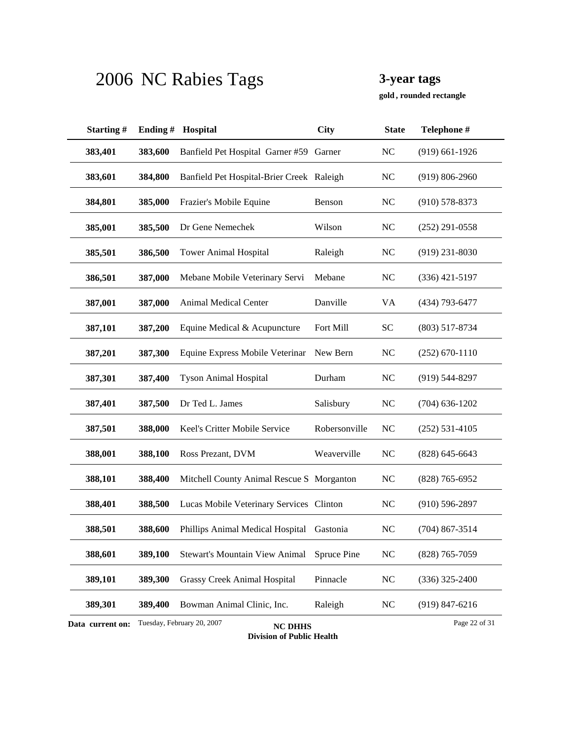**, rounded rectangle gold**

| Starting#        | Ending# | Hospital                                     | City          | <b>State</b>   | Telephone #        |
|------------------|---------|----------------------------------------------|---------------|----------------|--------------------|
| 383,401          | 383,600 | Banfield Pet Hospital Garner #59 Garner      |               | N <sub>C</sub> | $(919)$ 661-1926   |
| 383,601          | 384,800 | Banfield Pet Hospital-Brier Creek Raleigh    |               | N <sub>C</sub> | $(919) 806 - 2960$ |
| 384,801          | 385,000 | Frazier's Mobile Equine                      | Benson        | NC             | $(910)$ 578-8373   |
| 385,001          | 385,500 | Dr Gene Nemechek                             | Wilson        | <b>NC</b>      | $(252)$ 291-0558   |
| 385,501          | 386,500 | <b>Tower Animal Hospital</b>                 | Raleigh       | NC             | $(919)$ 231-8030   |
| 386,501          | 387,000 | Mebane Mobile Veterinary Servi               | Mebane        | N <sub>C</sub> | $(336)$ 421-5197   |
| 387,001          | 387,000 | Animal Medical Center                        | Danville      | VA             | (434) 793-6477     |
| 387,101          | 387,200 | Equine Medical & Acupuncture                 | Fort Mill     | <b>SC</b>      | $(803)$ 517-8734   |
| 387,201          | 387,300 | Equine Express Mobile Veterinar              | New Bern      | N <sub>C</sub> | $(252)$ 670-1110   |
| 387,301          | 387,400 | <b>Tyson Animal Hospital</b>                 | Durham        | <b>NC</b>      | $(919) 544 - 8297$ |
| 387,401          | 387,500 | Dr Ted L. James                              | Salisbury     | NC             | $(704)$ 636-1202   |
| 387,501          | 388,000 | Keel's Critter Mobile Service                | Robersonville | N <sub>C</sub> | $(252) 531 - 4105$ |
| 388,001          | 388,100 | Ross Prezant, DVM                            | Weaverville   | N <sub>C</sub> | $(828)$ 645-6643   |
| 388,101          | 388,400 | Mitchell County Animal Rescue S Morganton    |               | <b>NC</b>      | $(828)$ 765-6952   |
| 388,401          | 388,500 | Lucas Mobile Veterinary Services Clinton     |               | <b>NC</b>      | $(910) 596 - 2897$ |
| 388,501          | 388,600 | Phillips Animal Medical Hospital             | Gastonia      | N <sub>C</sub> | $(704)$ 867-3514   |
| 388,601          | 389,100 | <b>Stewart's Mountain View Animal</b>        | Spruce Pine   | NC             | $(828)$ 765-7059   |
| 389,101          | 389,300 | <b>Grassy Creek Animal Hospital</b>          | Pinnacle      | NC             | $(336)$ 325-2400   |
| 389,301          | 389,400 | Bowman Animal Clinic, Inc.                   | Raleigh       | NC             | $(919) 847 - 6216$ |
| Data current on: |         | Tuesday, February 20, 2007<br><b>NC DHHS</b> |               |                | Page 22 of 31      |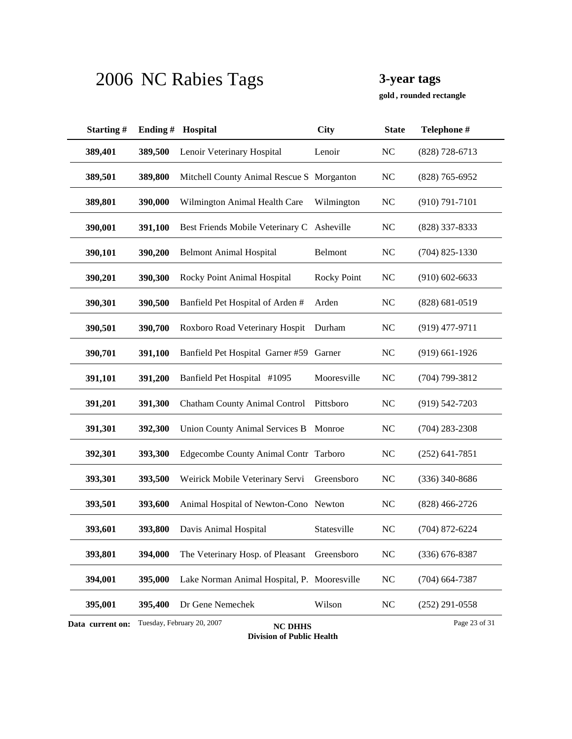**, rounded rectangle gold**

| Starting#        | Ending# | Hospital                                     | <b>City</b>        | <b>State</b>   | Telephone #        |
|------------------|---------|----------------------------------------------|--------------------|----------------|--------------------|
| 389,401          | 389,500 | Lenoir Veterinary Hospital                   | Lenoir             | N <sub>C</sub> | $(828)$ 728-6713   |
| 389,501          | 389,800 | Mitchell County Animal Rescue S Morganton    |                    | <b>NC</b>      | $(828)$ 765-6952   |
| 389,801          | 390,000 | Wilmington Animal Health Care                | Wilmington         | <b>NC</b>      | $(910) 791 - 7101$ |
| 390,001          | 391,100 | Best Friends Mobile Veterinary C             | Asheville          | <b>NC</b>      | (828) 337-8333     |
| 390,101          | 390,200 | <b>Belmont Animal Hospital</b>               | Belmont            | <b>NC</b>      | $(704)$ 825-1330   |
| 390,201          | 390,300 | Rocky Point Animal Hospital                  | <b>Rocky Point</b> | <b>NC</b>      | $(910)$ 602-6633   |
| 390,301          | 390,500 | Banfield Pet Hospital of Arden #             | Arden              | <b>NC</b>      | $(828) 681 - 0519$ |
| 390,501          | 390,700 | Roxboro Road Veterinary Hospit               | Durham             | <b>NC</b>      | $(919)$ 477-9711   |
| 390,701          | 391,100 | Banfield Pet Hospital Garner #59             | Garner             | <b>NC</b>      | $(919)$ 661-1926   |
| 391,101          | 391,200 | Banfield Pet Hospital #1095                  | Mooresville        | N <sub>C</sub> | $(704)$ 799-3812   |
| 391,201          | 391,300 | Chatham County Animal Control                | Pittsboro          | <b>NC</b>      | $(919) 542 - 7203$ |
| 391,301          | 392,300 | <b>Union County Animal Services B</b>        | Monroe             | <b>NC</b>      | $(704)$ 283-2308   |
| 392,301          | 393,300 | Edgecombe County Animal Contr Tarboro        |                    | <b>NC</b>      | $(252)$ 641-7851   |
| 393,301          | 393,500 | Weirick Mobile Veterinary Servi              | Greensboro         | <b>NC</b>      | $(336)$ 340-8686   |
| 393,501          | 393,600 | Animal Hospital of Newton-Cono Newton        |                    | N <sub>C</sub> | $(828)$ 466-2726   |
| 393,601          | 393,800 | Davis Animal Hospital                        | Statesville        | N <sub>C</sub> | $(704)$ 872-6224   |
| 393,801          | 394,000 | The Veterinary Hosp. of Pleasant             | Greensboro         | <b>NC</b>      | $(336)$ 676-8387   |
| 394,001          | 395,000 | Lake Norman Animal Hospital, P. Mooresville  |                    | N <sub>C</sub> | $(704)$ 664-7387   |
| 395,001          | 395,400 | Dr Gene Nemechek                             | Wilson             | <b>NC</b>      | $(252)$ 291-0558   |
| Data current on: |         | Tuesday, February 20, 2007<br><b>NC DHHS</b> |                    |                | Page 23 of 31      |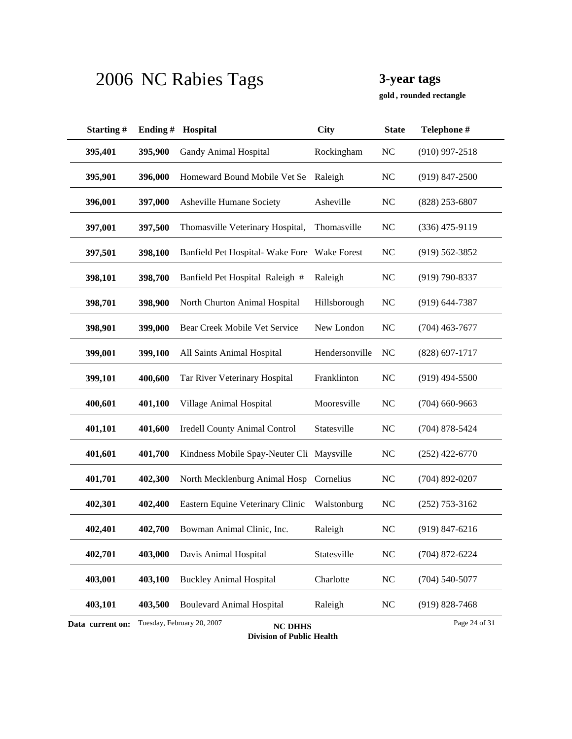**, rounded rectangle gold**

| Starting#        | Ending# | Hospital                                     | <b>City</b>    | <b>State</b>   | Telephone #        |
|------------------|---------|----------------------------------------------|----------------|----------------|--------------------|
| 395,401          | 395,900 | Gandy Animal Hospital                        | Rockingham     | <b>NC</b>      | $(910)$ 997-2518   |
| 395,901          | 396,000 | Homeward Bound Mobile Vet Se                 | Raleigh        | <b>NC</b>      | $(919)$ 847-2500   |
| 396,001          | 397,000 | Asheville Humane Society                     | Asheville      | <b>NC</b>      | $(828)$ 253-6807   |
| 397,001          | 397,500 | Thomasville Veterinary Hospital,             | Thomasville    | <b>NC</b>      | $(336)$ 475-9119   |
| 397,501          | 398,100 | Banfield Pet Hospital-Wake Fore              | Wake Forest    | <b>NC</b>      | $(919) 562 - 3852$ |
| 398,101          | 398,700 | Banfield Pet Hospital Raleigh #              | Raleigh        | <b>NC</b>      | $(919) 790 - 8337$ |
| 398,701          | 398,900 | North Churton Animal Hospital                | Hillsborough   | N <sub>C</sub> | $(919) 644 - 7387$ |
| 398,901          | 399,000 | Bear Creek Mobile Vet Service                | New London     | <b>NC</b>      | $(704)$ 463-7677   |
| 399,001          | 399,100 | All Saints Animal Hospital                   | Hendersonville | NC             | $(828)$ 697-1717   |
| 399,101          | 400,600 | Tar River Veterinary Hospital                | Franklinton    | <b>NC</b>      | $(919)$ 494-5500   |
| 400,601          | 401,100 | Village Animal Hospital                      | Mooresville    | <b>NC</b>      | $(704)$ 660-9663   |
| 401,101          | 401,600 | <b>Iredell County Animal Control</b>         | Statesville    | <b>NC</b>      | $(704)$ 878-5424   |
| 401,601          | 401,700 | Kindness Mobile Spay-Neuter Cli Maysville    |                | <b>NC</b>      | $(252)$ 422-6770   |
| 401,701          | 402,300 | North Mecklenburg Animal Hosp                | Cornelius      | <b>NC</b>      | $(704)$ 892-0207   |
| 402,301          | 402,400 | Eastern Equine Veterinary Clinic             | Walstonburg    | <b>NC</b>      | $(252)$ 753-3162   |
| 402,401          | 402,700 | Bowman Animal Clinic, Inc.                   | Raleigh        | N <sub>C</sub> | $(919) 847 - 6216$ |
| 402,701          | 403,000 | Davis Animal Hospital                        | Statesville    | NC             | $(704)$ 872-6224   |
| 403,001          | 403,100 | <b>Buckley Animal Hospital</b>               | Charlotte      | <b>NC</b>      | $(704) 540 - 5077$ |
| 403,101          | 403,500 | <b>Boulevard Animal Hospital</b>             | Raleigh        | <b>NC</b>      | $(919) 828 - 7468$ |
| Data current on: |         | Tuesday, February 20, 2007<br><b>NC DHHS</b> |                |                | Page 24 of 31      |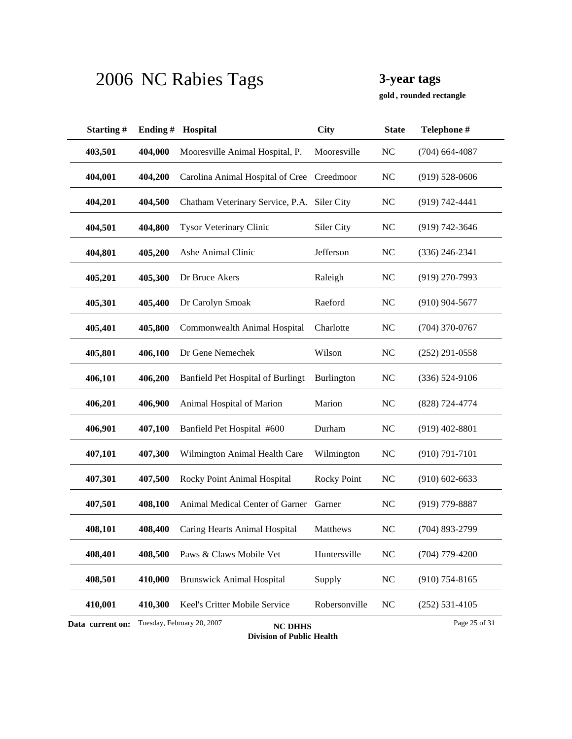**, rounded rectangle gold**

| Starting#        | Ending# | Hospital                                     | <b>City</b>        | <b>State</b>   | Telephone #        |
|------------------|---------|----------------------------------------------|--------------------|----------------|--------------------|
| 403,501          | 404,000 | Mooresville Animal Hospital, P.              | Mooresville        | N <sub>C</sub> | $(704)$ 664-4087   |
| 404,001          | 404,200 | Carolina Animal Hospital of Cree Creedmoor   |                    | NC             | $(919)$ 528-0606   |
| 404,201          | 404,500 | Chatham Veterinary Service, P.A. Siler City  |                    | <b>NC</b>      | $(919) 742 - 4441$ |
| 404,501          | 404,800 | <b>Tysor Veterinary Clinic</b>               | Siler City         | N <sub>C</sub> | $(919) 742 - 3646$ |
| 404,801          | 405,200 | Ashe Animal Clinic                           | Jefferson          | NC             | $(336)$ 246-2341   |
| 405,201          | 405,300 | Dr Bruce Akers                               | Raleigh            | N <sub>C</sub> | $(919)$ 270-7993   |
| 405,301          | 405,400 | Dr Carolyn Smoak                             | Raeford            | NC             | $(910)$ 904-5677   |
| 405,401          | 405,800 | Commonwealth Animal Hospital                 | Charlotte          | <b>NC</b>      | $(704)$ 370-0767   |
| 405,801          | 406,100 | Dr Gene Nemechek                             | Wilson             | N <sub>C</sub> | $(252)$ 291-0558   |
| 406,101          | 406,200 | Banfield Pet Hospital of Burlingt            | Burlington         | <b>NC</b>      | $(336) 524 - 9106$ |
| 406,201          | 406,900 | Animal Hospital of Marion                    | Marion             | NC             | (828) 724-4774     |
| 406,901          | 407,100 | Banfield Pet Hospital #600                   | Durham             | <b>NC</b>      | $(919)$ 402-8801   |
| 407,101          | 407,300 | Wilmington Animal Health Care                | Wilmington         | N <sub>C</sub> | $(910) 791 - 7101$ |
| 407,301          | 407,500 | Rocky Point Animal Hospital                  | <b>Rocky Point</b> | <b>NC</b>      | $(910)$ 602-6633   |
| 407,501          | 408,100 | Animal Medical Center of Garner              | Garner             | N <sub>C</sub> | $(919)$ 779-8887   |
| 408,101          | 408,400 | Caring Hearts Animal Hospital                | Matthews           | N <sub>C</sub> | $(704)$ 893-2799   |
| 408,401          | 408,500 | Paws & Claws Mobile Vet                      | Huntersville       | <b>NC</b>      | $(704)$ 779-4200   |
| 408,501          | 410,000 | <b>Brunswick Animal Hospital</b>             | Supply             | $\rm NC$       | $(910)$ 754-8165   |
| 410,001          | 410,300 | Keel's Critter Mobile Service                | Robersonville      | NC             | $(252) 531 - 4105$ |
| Data current on: |         | Tuesday, February 20, 2007<br><b>NC DHHS</b> |                    |                | Page 25 of 31      |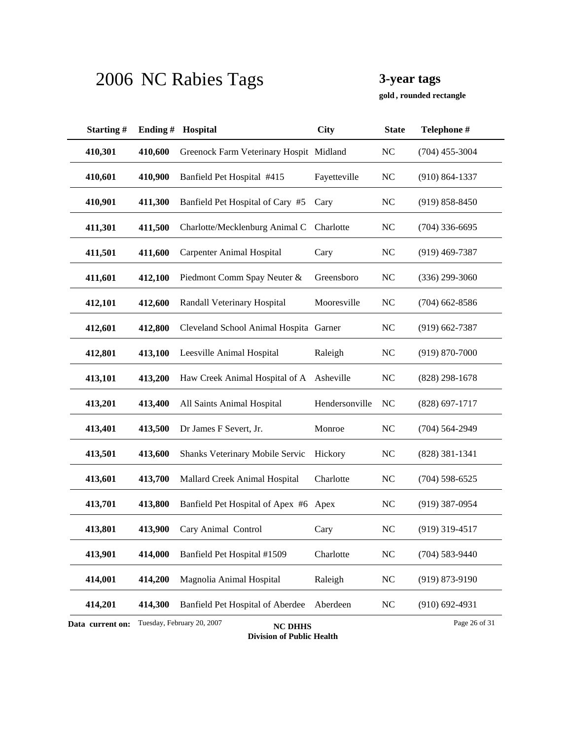**, rounded rectangle gold**

| Starting#        | Ending# | Hospital                                     | <b>City</b>    | <b>State</b>   | Telephone #        |
|------------------|---------|----------------------------------------------|----------------|----------------|--------------------|
| 410,301          | 410,600 | Greenock Farm Veterinary Hospit Midland      |                | NC             | $(704)$ 455-3004   |
| 410,601          | 410,900 | Banfield Pet Hospital #415                   | Fayetteville   | <b>NC</b>      | $(910) 864 - 1337$ |
| 410,901          | 411,300 | Banfield Pet Hospital of Cary #5             | Cary           | <b>NC</b>      | $(919) 858 - 8450$ |
| 411,301          | 411,500 | Charlotte/Mecklenburg Animal C               | Charlotte      | <b>NC</b>      | $(704)$ 336-6695   |
| 411,501          | 411,600 | <b>Carpenter Animal Hospital</b>             | Cary           | N <sub>C</sub> | $(919)$ 469-7387   |
| 411,601          | 412,100 | Piedmont Comm Spay Neuter &                  | Greensboro     | <b>NC</b>      | $(336)$ 299-3060   |
| 412,101          | 412,600 | Randall Veterinary Hospital                  | Mooresville    | <b>NC</b>      | $(704)$ 662-8586   |
| 412,601          | 412,800 | Cleveland School Animal Hospita Garner       |                | NC             | $(919)$ 662-7387   |
| 412,801          | 413,100 | Leesville Animal Hospital                    | Raleigh        | N <sub>C</sub> | $(919) 870 - 7000$ |
| 413,101          | 413,200 | Haw Creek Animal Hospital of A Asheville     |                | <b>NC</b>      | $(828)$ 298-1678   |
| 413,201          | 413,400 | All Saints Animal Hospital                   | Hendersonville | <b>NC</b>      | $(828)$ 697-1717   |
| 413,401          | 413,500 | Dr James F Severt, Jr.                       | Monroe         | <b>NC</b>      | $(704) 564 - 2949$ |
| 413,501          | 413,600 | Shanks Veterinary Mobile Servic              | Hickory        | N <sub>C</sub> | $(828)$ 381-1341   |
| 413,601          | 413,700 | Mallard Creek Animal Hospital                | Charlotte      | N <sub>C</sub> | $(704)$ 598-6525   |
| 413,701          | 413,800 | Banfield Pet Hospital of Apex #6 Apex        |                | <b>NC</b>      | $(919)$ 387-0954   |
| 413,801          | 413,900 | Cary Animal Control                          | Cary           | N <sub>C</sub> | $(919)$ 319-4517   |
| 413,901          | 414,000 | Banfield Pet Hospital #1509                  | Charlotte      | <b>NC</b>      | $(704)$ 583-9440   |
| 414,001          | 414,200 | Magnolia Animal Hospital                     | Raleigh        | $\rm NC$       | $(919) 873 - 9190$ |
| 414,201          | 414,300 | Banfield Pet Hospital of Aberdee             | Aberdeen       | <b>NC</b>      | $(910)$ 692-4931   |
| Data current on: |         | Tuesday, February 20, 2007<br><b>NC DHHS</b> |                |                | Page 26 of 31      |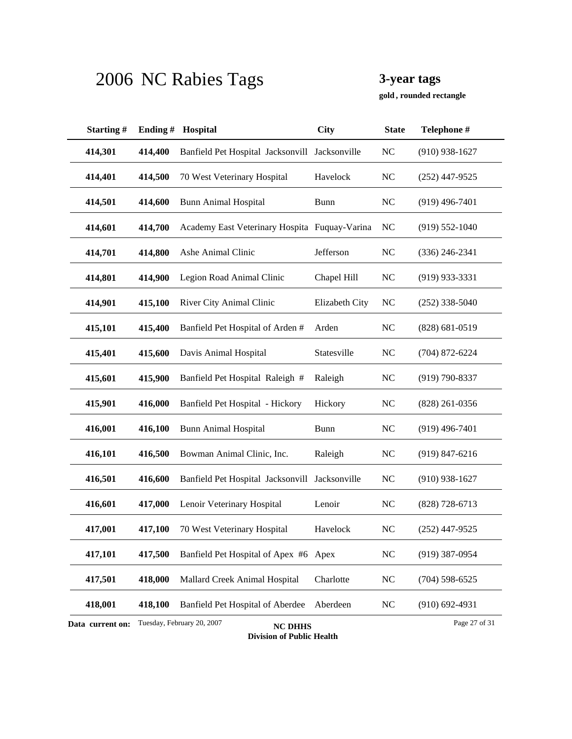**, rounded rectangle gold**

| Starting#        | Ending# | Hospital                                       | <b>City</b>    | <b>State</b>   | Telephone #        |
|------------------|---------|------------------------------------------------|----------------|----------------|--------------------|
| 414,301          | 414,400 | Banfield Pet Hospital Jacksonvill Jacksonville |                | NC             | $(910)$ 938-1627   |
| 414,401          | 414,500 | 70 West Veterinary Hospital                    | Havelock       | <b>NC</b>      | $(252)$ 447-9525   |
| 414,501          | 414,600 | <b>Bunn Animal Hospital</b>                    | <b>Bunn</b>    | N <sub>C</sub> | $(919)$ 496-7401   |
| 414,601          | 414,700 | Academy East Veterinary Hospita Fuquay-Varina  |                | <b>NC</b>      | $(919) 552 - 1040$ |
| 414,701          | 414,800 | Ashe Animal Clinic                             | Jefferson      | NC             | $(336)$ 246-2341   |
| 414,801          | 414,900 | Legion Road Animal Clinic                      | Chapel Hill    | <b>NC</b>      | $(919)$ 933-3331   |
| 414,901          | 415,100 | River City Animal Clinic                       | Elizabeth City | <b>NC</b>      | $(252)$ 338-5040   |
| 415,101          | 415,400 | Banfield Pet Hospital of Arden #               | Arden          | <b>NC</b>      | $(828) 681 - 0519$ |
| 415,401          | 415,600 | Davis Animal Hospital                          | Statesville    | N <sub>C</sub> | $(704)$ 872-6224   |
| 415,601          | 415,900 | Banfield Pet Hospital Raleigh #                | Raleigh        | N <sub>C</sub> | $(919) 790 - 8337$ |
| 415,901          | 416,000 | Banfield Pet Hospital - Hickory                | Hickory        | <b>NC</b>      | $(828)$ 261-0356   |
| 416,001          | 416,100 | <b>Bunn Animal Hospital</b>                    | <b>Bunn</b>    | <b>NC</b>      | $(919)$ 496-7401   |
| 416,101          | 416,500 | Bowman Animal Clinic, Inc.                     | Raleigh        | NC             | $(919) 847 - 6216$ |
| 416,501          | 416,600 | Banfield Pet Hospital Jacksonvill Jacksonville |                | N <sub>C</sub> | $(910)$ 938-1627   |
| 416,601          | 417,000 | Lenoir Veterinary Hospital                     | Lenoir         | <b>NC</b>      | $(828)$ 728-6713   |
| 417,001          | 417,100 | 70 West Veterinary Hospital                    | Havelock       | N <sub>C</sub> | $(252)$ 447-9525   |
| 417,101          | 417,500 | Banfield Pet Hospital of Apex #6 Apex          |                | <b>NC</b>      | $(919)$ 387-0954   |
| 417,501          | 418,000 | Mallard Creek Animal Hospital                  | Charlotte      | NC             | $(704)$ 598-6525   |
| 418,001          | 418,100 | Banfield Pet Hospital of Aberdee               | Aberdeen       | <b>NC</b>      | $(910) 692 - 4931$ |
| Data current on: |         | Tuesday, February 20, 2007<br><b>NC DHHS</b>   |                |                | Page 27 of 31      |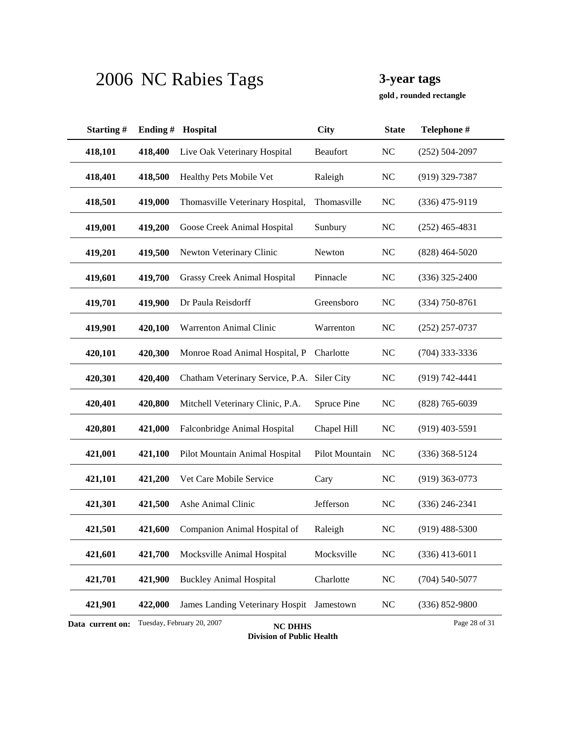**, rounded rectangle gold**

| Starting#        | Ending# | Hospital                                     | <b>City</b>    | <b>State</b>   | Telephone #        |
|------------------|---------|----------------------------------------------|----------------|----------------|--------------------|
| 418,101          | 418,400 | Live Oak Veterinary Hospital                 | Beaufort       | <b>NC</b>      | $(252) 504 - 2097$ |
| 418,401          | 418,500 | Healthy Pets Mobile Vet                      | Raleigh        | <b>NC</b>      | $(919)$ 329-7387   |
| 418,501          | 419,000 | Thomasville Veterinary Hospital,             | Thomasville    | NC             | $(336)$ 475-9119   |
| 419,001          | 419,200 | Goose Creek Animal Hospital                  | Sunbury        | N <sub>C</sub> | $(252)$ 465-4831   |
| 419,201          | 419,500 | Newton Veterinary Clinic                     | Newton         | NC             | $(828)$ 464-5020   |
| 419,601          | 419,700 | Grassy Creek Animal Hospital                 | Pinnacle       | N <sub>C</sub> | $(336)$ 325-2400   |
| 419,701          | 419,900 | Dr Paula Reisdorff                           | Greensboro     | NC             | $(334)$ 750-8761   |
| 419,901          | 420,100 | Warrenton Animal Clinic                      | Warrenton      | <b>NC</b>      | $(252)$ 257-0737   |
| 420,101          | 420,300 | Monroe Road Animal Hospital, P               | Charlotte      | NC             | $(704)$ 333-3336   |
| 420,301          | 420,400 | Chatham Veterinary Service, P.A.             | Siler City     | <b>NC</b>      | $(919) 742 - 4441$ |
| 420,401          | 420,800 | Mitchell Veterinary Clinic, P.A.             | Spruce Pine    | NC             | $(828)$ 765-6039   |
| 420,801          | 421,000 | Falconbridge Animal Hospital                 | Chapel Hill    | N <sub>C</sub> | $(919)$ 403-5591   |
| 421,001          | 421,100 | Pilot Mountain Animal Hospital               | Pilot Mountain | NC             | $(336)$ 368-5124   |
| 421,101          | 421,200 | Vet Care Mobile Service                      | Cary           | <b>NC</b>      | $(919)$ 363-0773   |
| 421,301          | 421,500 | Ashe Animal Clinic                           | Jefferson      | N <sub>C</sub> | $(336)$ 246-2341   |
| 421,501          | 421,600 | Companion Animal Hospital of                 | Raleigh        | N <sub>C</sub> | $(919)$ 488-5300   |
| 421,601          | 421,700 | Mocksville Animal Hospital                   | Mocksville     | NC             | $(336)$ 413-6011   |
| 421,701          | 421,900 | <b>Buckley Animal Hospital</b>               | Charlotte      | NC             | $(704) 540 - 5077$ |
| 421,901          | 422,000 | James Landing Veterinary Hospit              | Jamestown      | <b>NC</b>      | $(336) 852 - 9800$ |
| Data current on: |         | Tuesday, February 20, 2007<br><b>NC DHHS</b> |                |                | Page 28 of 31      |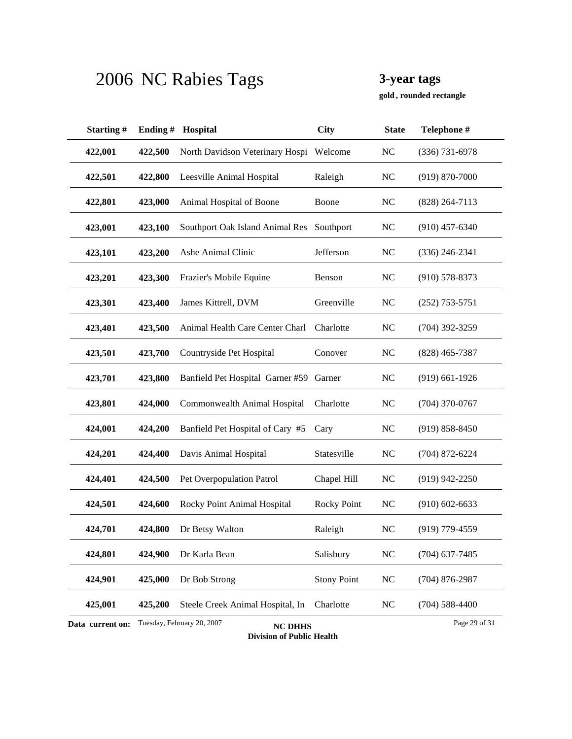**, rounded rectangle gold**

| Starting#        | Ending# | Hospital                                     | <b>City</b>        | <b>State</b>   | Telephone #        |
|------------------|---------|----------------------------------------------|--------------------|----------------|--------------------|
| 422,001          | 422,500 | North Davidson Veterinary Hospi Welcome      |                    | NC             | $(336)$ 731-6978   |
| 422,501          | 422,800 | Leesville Animal Hospital                    | Raleigh            | <b>NC</b>      | $(919) 870 - 7000$ |
| 422,801          | 423,000 | Animal Hospital of Boone                     | Boone              | NC             | $(828)$ 264-7113   |
| 423,001          | 423,100 | Southport Oak Island Animal Res Southport    |                    | NC             | $(910)$ 457-6340   |
| 423,101          | 423,200 | Ashe Animal Clinic                           | Jefferson          | NC             | $(336)$ 246-2341   |
| 423,201          | 423,300 | Frazier's Mobile Equine                      | Benson             | NC             | $(910)$ 578-8373   |
| 423,301          | 423,400 | James Kittrell, DVM                          | Greenville         | NC             | $(252)$ 753-5751   |
| 423,401          | 423,500 | Animal Health Care Center Charl              | Charlotte          | NC             | $(704)$ 392-3259   |
| 423,501          | 423,700 | Countryside Pet Hospital                     | Conover            | NC             | $(828)$ 465-7387   |
| 423,701          | 423,800 | Banfield Pet Hospital Garner #59             | Garner             | NC             | $(919)$ 661-1926   |
| 423,801          | 424,000 | Commonwealth Animal Hospital                 | Charlotte          | NC             | $(704)$ 370-0767   |
| 424,001          | 424,200 | Banfield Pet Hospital of Cary #5             | Cary               | NC             | $(919) 858 - 8450$ |
| 424,201          | 424,400 | Davis Animal Hospital                        | Statesville        | NC             | $(704)$ 872-6224   |
| 424,401          | 424,500 | Pet Overpopulation Patrol                    | Chapel Hill        | NC             | $(919)$ 942-2250   |
| 424,501          | 424,600 | Rocky Point Animal Hospital                  | <b>Rocky Point</b> | NC             | $(910)$ 602-6633   |
| 424,701          | 424,800 | Dr Betsy Walton                              | Raleigh            | N <sub>C</sub> | $(919)$ 779-4559   |
| 424,801          | 424,900 | Dr Karla Bean                                | Salisbury          | $\rm NC$       | $(704)$ 637-7485   |
| 424,901          | 425,000 | Dr Bob Strong                                | <b>Stony Point</b> | $\rm NC$       | $(704)$ 876-2987   |
| 425,001          | 425,200 | Steele Creek Animal Hospital, In             | Charlotte          | <b>NC</b>      | $(704)$ 588-4400   |
| Data current on: |         | Tuesday, February 20, 2007<br><b>NC DHHS</b> |                    |                | Page 29 of 31      |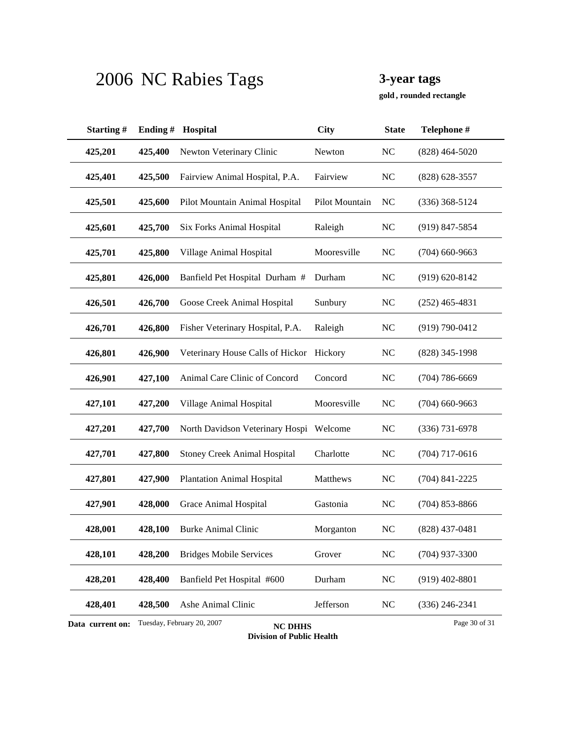**, rounded rectangle gold**

| Starting#        | Ending# | Hospital                                     | <b>City</b>    | <b>State</b>   | Telephone #        |
|------------------|---------|----------------------------------------------|----------------|----------------|--------------------|
| 425,201          | 425,400 | Newton Veterinary Clinic                     | Newton         | <b>NC</b>      | $(828)$ 464-5020   |
| 425,401          | 425,500 | Fairview Animal Hospital, P.A.               | Fairview       | N <sub>C</sub> | $(828) 628 - 3557$ |
| 425,501          | 425,600 | Pilot Mountain Animal Hospital               | Pilot Mountain | NC             | $(336)$ 368-5124   |
| 425,601          | 425,700 | <b>Six Forks Animal Hospital</b>             | Raleigh        | N <sub>C</sub> | $(919)$ 847-5854   |
| 425,701          | 425,800 | Village Animal Hospital                      | Mooresville    | N <sub>C</sub> | $(704)$ 660-9663   |
| 425,801          | 426,000 | Banfield Pet Hospital Durham #               | Durham         | NC             | $(919) 620 - 8142$ |
| 426,501          | 426,700 | Goose Creek Animal Hospital                  | Sunbury        | <b>NC</b>      | $(252)$ 465-4831   |
| 426,701          | 426,800 | Fisher Veterinary Hospital, P.A.             | Raleigh        | N <sub>C</sub> | $(919) 790 - 0412$ |
| 426,801          | 426,900 | Veterinary House Calls of Hickor             | Hickory        | N <sub>C</sub> | (828) 345-1998     |
| 426,901          | 427,100 | Animal Care Clinic of Concord                | Concord        | N <sub>C</sub> | $(704)$ 786-6669   |
| 427,101          | 427,200 | Village Animal Hospital                      | Mooresville    | NC             | $(704)$ 660-9663   |
| 427,201          | 427,700 | North Davidson Veterinary Hospi              | Welcome        | <b>NC</b>      | $(336)$ 731-6978   |
| 427,701          | 427,800 | <b>Stoney Creek Animal Hospital</b>          | Charlotte      | NC             | $(704)$ 717-0616   |
| 427,801          | 427,900 | <b>Plantation Animal Hospital</b>            | Matthews       | <b>NC</b>      | $(704)$ 841-2225   |
| 427,901          | 428,000 | Grace Animal Hospital                        | Gastonia       | <b>NC</b>      | $(704)$ 853-8866   |
| 428,001          | 428,100 | <b>Burke Animal Clinic</b>                   | Morganton      | NC             | $(828)$ 437-0481   |
| 428,101          | 428,200 | <b>Bridges Mobile Services</b>               | Grover         | <b>NC</b>      | $(704)$ 937-3300   |
| 428,201          | 428,400 | Banfield Pet Hospital #600                   | Durham         | <b>NC</b>      | $(919)$ 402-8801   |
| 428,401          | 428,500 | Ashe Animal Clinic                           | Jefferson      | <b>NC</b>      | $(336)$ 246-2341   |
| Data current on: |         | Tuesday, February 20, 2007<br><b>NC DHHS</b> |                |                | Page 30 of 31      |